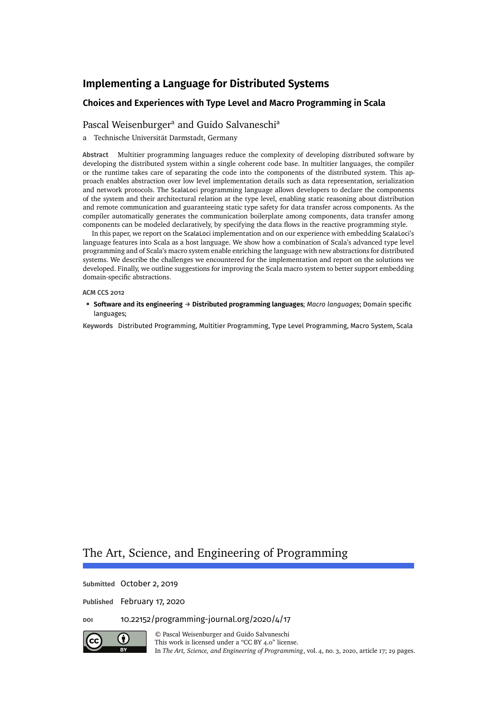# **Choices and Experiences with Type Level and Macro Programming in Scala**

# [Pascal Weisenburger](#page-28-0)<sup>a</sup> and [Guido Salvaneschi](#page-28-1)<sup>a</sup>

a Technische Universität Darmstadt, Germany

**Abstract** Multitier programming languages reduce the complexity of developing distributed software by developing the distributed system within a single coherent code base. In multitier languages, the compiler or the runtime takes care of separating the code into the components of the distributed system. This approach enables abstraction over low level implementation details such as data representation, serialization and network protocols. The ScalaLoci programming language allows developers to declare the components of the system and their architectural relation at the type level, enabling static reasoning about distribution and remote communication and guaranteeing static type safety for data transfer across components. As the compiler automatically generates the communication boilerplate among components, data transfer among components can be modeled declaratively, by specifying the data flows in the reactive programming style.

In this paper, we report on the ScalaLoci implementation and on our experience with embedding ScalaLoci's language features into Scala as a host language. We show how a combination of Scala's advanced type level programming and of Scala's macro system enable enriching the language with new abstractions for distributed systems. We describe the challenges we encountered for the implementation and report on the solutions we developed. Finally, we outline suggestions for improving the Scala macro system to better support embedding domain-specific abstractions.

#### **ACM CCS 2012**

**Software and its engineering** → **Distributed programming languages**; *Macro languages*; Domain specific languages;

**Keywords** Distributed Programming, Multitier Programming, Type Level Programming, Macro System, Scala

# The Art, Science, and Engineering of Programming

**Submitted** October 2, 2019

**Published** February 17, 2020

**doi** [10.22152/programming-journal.org/2020/4/17](https://doi.org/10.22152/programming-journal.org/2020/4/17)



© [Pascal Weisenburger](#page-28-0) and [Guido Salvaneschi](#page-28-1) This work is licensed undera ["CC BY 4.0"](https://creativecommons.org/licenses/by/4.0/deed.en) license. In *The Art, Science, and Engineering of Programming*, vol. 4, no. 3, 2020, article 17; [29](#page-28-2) pages.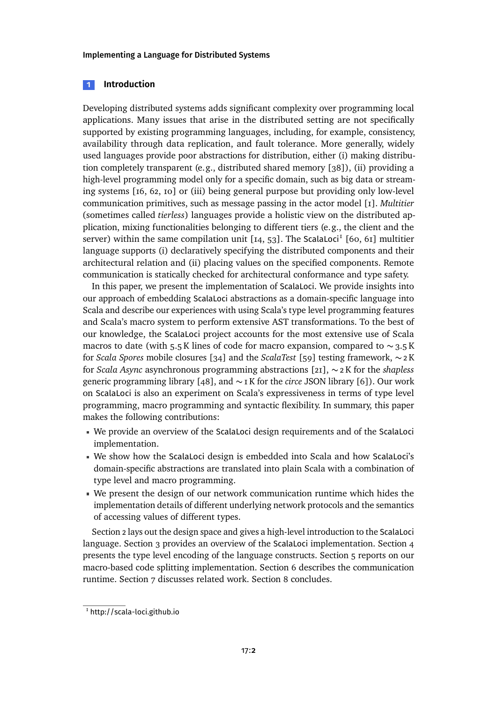# **1 Introduction**

Developing distributed systems adds significant complexity over programming local applications. Many issues that arise in the distributed setting are not specifically supported by existing programming languages, including, for example, consistency, availability through data replication, and fault tolerance. More generally, widely used languages provide poor abstractions for distribution, either (i) making distribution completely transparent (e.g., distributed shared memory [\[38\]](#page-25-0)), (ii) providing a high-level programming model only for a specific domain, such as big data or streaming systems [\[16,](#page-23-0) [62,](#page-27-0) [10\]](#page-23-1) or (iii) being general purpose but providing only low-level communication primitives, such as message passing in the actor model [\[1\]](#page-22-0). *Multitier* (sometimes called *tierless*) languages provide a holistic view on the distributed application, mixing functionalities belonging to different tiers (e.g., the client and the server) within the same compilation unit  $[I4, 53]$  $[I4, 53]$ . The ScalaLoci<sup>[1](#page-1-0)</sup> [\[60,](#page-27-1) [61\]](#page-27-2) multitier language supports (i) declaratively specifying the distributed components and their architectural relation and (ii) placing values on the specified components. Remote communication is statically checked for architectural conformance and type safety.

In this paper, we present the implementation of ScalaLoci. We provide insights into our approach of embedding ScalaLoci abstractions as a domain-specific language into Scala and describe our experiences with using Scala's type level programming features and Scala's macro system to perform extensive AST transformations. To the best of our knowledge, the ScalaLoci project accounts for the most extensive use of Scala macros to date (with 5.5 K lines of code for macro expansion, compared to  $\sim$  3.5 K for *Scala Spores* mobile closures [\[34\]](#page-24-0) and the *ScalaTest* [\[59\]](#page-27-3) testing framework, ∼ 2 K for *Scala Async* asynchronous programming abstractions [\[21\]](#page-24-1), ∼ 2 K for the *shapless* generic programming library [\[48\]](#page-26-1), and ∼ 1 K for the *circe* JSON library [\[6\]](#page-22-1)). Our work on ScalaLoci is also an experiment on Scala's expressiveness in terms of type level programming, macro programming and syntactic flexibility. In summary, this paper makes the following contributions:

- We provide an overview of the ScalaLoci design requirements and of the ScalaLoci implementation.
- We show how the ScalaLoci design is embedded into Scala and how ScalaLoci's domain-specific abstractions are translated into plain Scala with a combination of type level and macro programming.
- We present the design of our network communication runtime which hides the implementation details of different underlying network protocols and the semantics of accessing values of different types.

[Section 2](#page-2-0) lays out the design space and gives a high-level introduction to the ScalaLoci language. [Section 3](#page-6-0) provides an overview of the ScalaLoci implementation. [Section 4](#page-7-0) presents the type level encoding of the language constructs. [Section 5](#page-10-0) reports on our macro-based code splitting implementation. [Section 6](#page-17-0) describes the communication runtime. [Section 7](#page-20-0) discusses related work. [Section 8](#page-22-2) concludes.

<span id="page-1-0"></span><sup>1</sup> <http://scala-loci.github.io>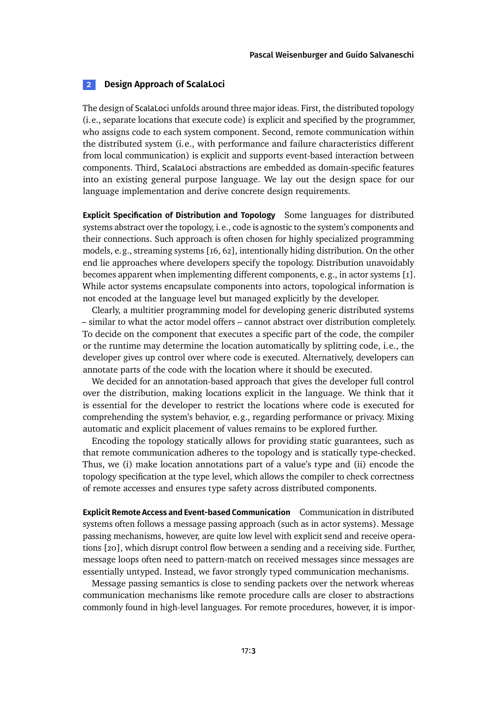# <span id="page-2-0"></span>**2 Design Approach of ScalaLoci**

The design of ScalaLoci unfolds around three major ideas. First, the distributed topology (i.e., separate locations that execute code) is explicit and specified by the programmer, who assigns code to each system component. Second, remote communication within the distributed system (i.e., with performance and failure characteristics different from local communication) is explicit and supports event-based interaction between components. Third, ScalaLoci abstractions are embedded as domain-specific features into an existing general purpose language. We lay out the design space for our language implementation and derive concrete design requirements.

**Explicit Specification of Distribution and Topology** Some languages for distributed systems abstract over the topology, i.e., code is agnostic to the system's components and their connections. Such approach is often chosen for highly specialized programming models, e.g., streaming systems [\[16,](#page-23-0) [62\]](#page-27-0), intentionally hiding distribution. On the other end lie approaches where developers specify the topology. Distribution unavoidably becomes apparent when implementing different components, e.g., in actor systems [\[1\]](#page-22-0). While actor systems encapsulate components into actors, topological information is not encoded at the language level but managed explicitly by the developer.

Clearly, a multitier programming model for developing generic distributed systems – similar to what the actor model offers – cannot abstract over distribution completely. To decide on the component that executes a specific part of the code, the compiler or the runtime may determine the location automatically by splitting code, i.e., the developer gives up control over where code is executed. Alternatively, developers can annotate parts of the code with the location where it should be executed.

We decided for an annotation-based approach that gives the developer full control over the distribution, making locations explicit in the language. We think that it is essential for the developer to restrict the locations where code is executed for comprehending the system's behavior, e.g., regarding performance or privacy. Mixing automatic and explicit placement of values remains to be explored further.

Encoding the topology statically allows for providing static guarantees, such as that remote communication adheres to the topology and is statically type-checked. Thus, we (i) make location annotations part of a value's type and (ii) encode the topology specification at the type level, which allows the compiler to check correctness of remote accesses and ensures type safety across distributed components.

**Explicit Remote Access and Event-based Communication** Communication in distributed systems often follows a message passing approach (such as in actor systems). Message passing mechanisms, however, are quite low level with explicit send and receive operations [\[20\]](#page-23-3), which disrupt control flow between a sending and a receiving side. Further, message loops often need to pattern-match on received messages since messages are essentially untyped. Instead, we favor strongly typed communication mechanisms.

Message passing semantics is close to sending packets over the network whereas communication mechanisms like remote procedure calls are closer to abstractions commonly found in high-level languages. For remote procedures, however, it is impor-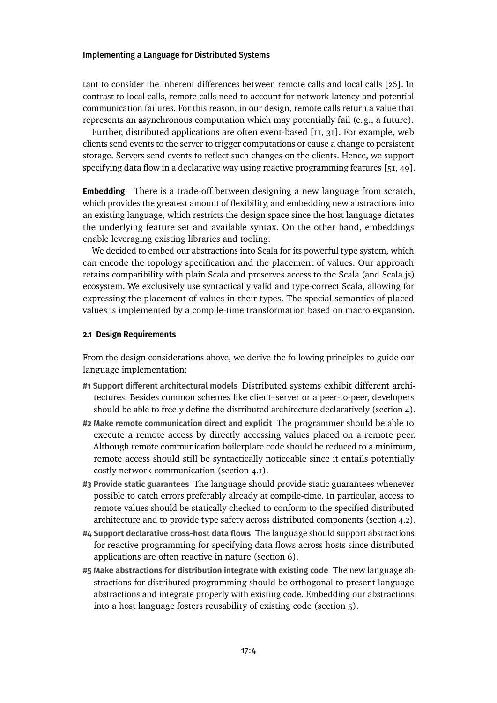tant to consider the inherent differences between remote calls and local calls [\[26\]](#page-24-2). In contrast to local calls, remote calls need to account for network latency and potential communication failures. For this reason, in our design, remote calls return a value that represents an asynchronous computation which may potentially fail (e.g., a future).

Further, distributed applications are often event-based [\[11,](#page-23-4) [31\]](#page-24-3). For example, web clients send events to the server to trigger computations or cause a change to persistent storage. Servers send events to reflect such changes on the clients. Hence, we support specifying data flow in a declarative way using reactive programming features [\[51,](#page-26-2) [49\]](#page-26-3).

**Embedding** There is a trade-off between designing a new language from scratch, which provides the greatest amount of flexibility, and embedding new abstractions into an existing language, which restricts the design space since the host language dictates the underlying feature set and available syntax. On the other hand, embeddings enable leveraging existing libraries and tooling.

We decided to embed our abstractions into Scala for its powerful type system, which can encode the topology specification and the placement of values. Our approach retains compatibility with plain Scala and preserves access to the Scala (and Scala.js) ecosystem. We exclusively use syntactically valid and type-correct Scala, allowing for expressing the placement of values in their types. The special semantics of placed values is implemented by a compile-time transformation based on macro expansion.

### **2.1 Design Requirements**

From the design considerations above, we derive the following principles to guide our language implementation:

- **#1 Support different architectural models** Distributed systems exhibit different architectures. Besides common schemes like client–server or a peer-to-peer, developers should be able to freely define the distributed architecture declaratively [\(section 4\)](#page-7-0).
- **#2 Make remote communication direct and explicit** The programmer should be able to execute a remote access by directly accessing values placed on a remote peer. Although remote communication boilerplate code should be reduced to a minimum, remote access should still be syntactically noticeable since it entails potentially costly network communication [\(section 4.1\)](#page-7-1).
- **#3 Provide static guarantees** The language should provide static guarantees whenever possible to catch errors preferably already at compile-time. In particular, access to remote values should be statically checked to conform to the specified distributed architecture and to provide type safety across distributed components [\(section 4.2\)](#page-8-0).
- **#4 Support declarative cross-host data flows** The language should support abstractions for reactive programming for specifying data flows across hosts since distributed applications are often reactive in nature [\(section 6\)](#page-17-0).
- **#5 Make abstractions for distribution integrate with existing code** The new language abstractions for distributed programming should be orthogonal to present language abstractions and integrate properly with existing code. Embedding our abstractions into a host language fosters reusability of existing code [\(section 5\)](#page-10-0).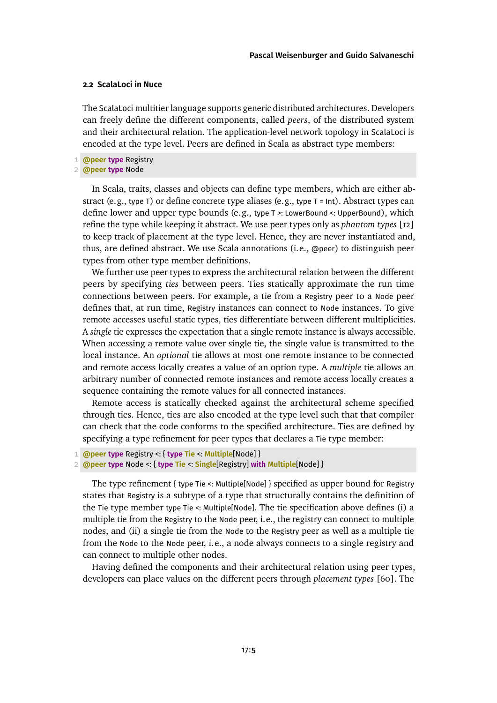#### <span id="page-4-0"></span>**2.2 ScalaLoci in Nuce**

The ScalaLoci multitier language supports generic distributed architectures. Developers can freely define the different components, called *peers*, of the distributed system and their architectural relation. The application-level network topology in ScalaLoci is encoded at the type level. Peers are defined in Scala as abstract type members:

1 **@peer type** Registry

```
2 @peer type Node
```
In Scala, traits, classes and objects can define type members, which are either abstract (e.g., type T) or define concrete type aliases (e.g., type  $T = Int$ ). Abstract types can define lower and upper type bounds (e.g., type T >: LowerBound <: UpperBound), which refine the type while keeping it abstract. We use peer types only as *phantom types* [\[12\]](#page-23-5) to keep track of placement at the type level. Hence, they are never instantiated and, thus, are defined abstract. We use Scala annotations (i.e., @peer) to distinguish peer types from other type member definitions.

We further use peer types to express the architectural relation between the different peers by specifying *ties* between peers. Ties statically approximate the run time connections between peers. For example, a tie from a Registry peer to a Node peer defines that, at run time, Registry instances can connect to Node instances. To give remote accesses useful static types, ties differentiate between different multiplicities. A *single* tie expresses the expectation that a single remote instance is always accessible. When accessing a remote value over single tie, the single value is transmitted to the local instance. An *optional* tie allows at most one remote instance to be connected and remote access locally creates a value of an option type. A *multiple* tie allows an arbitrary number of connected remote instances and remote access locally creates a sequence containing the remote values for all connected instances.

Remote access is statically checked against the architectural scheme specified through ties. Hence, ties are also encoded at the type level such that that compiler can check that the code conforms to the specified architecture. Ties are defined by specifying a type refinement for peer types that declares a Tie type member:

The type refinement { type Tie <: Multiple[Node] } specified as upper bound for Registry states that Registry is a subtype of a type that structurally contains the definition of the Tie type member type Tie <: Multiple[Node]. The tie specification above defines (i) a multiple tie from the Registry to the Node peer, i.e., the registry can connect to multiple nodes, and (ii) a single tie from the Node to the Registry peer as well as a multiple tie from the Node to the Node peer, i.e., a node always connects to a single registry and can connect to multiple other nodes.

Having defined the components and their architectural relation using peer types, developers can place values on the different peers through *placement types* [\[60\]](#page-27-1). The

<sup>1</sup> **@peer type** Registry <: { **type Tie** <: **Multiple**[Node] }

<sup>2</sup> **@peer type** Node <: { **type Tie** <: **Single**[Registry] **with Multiple**[Node] }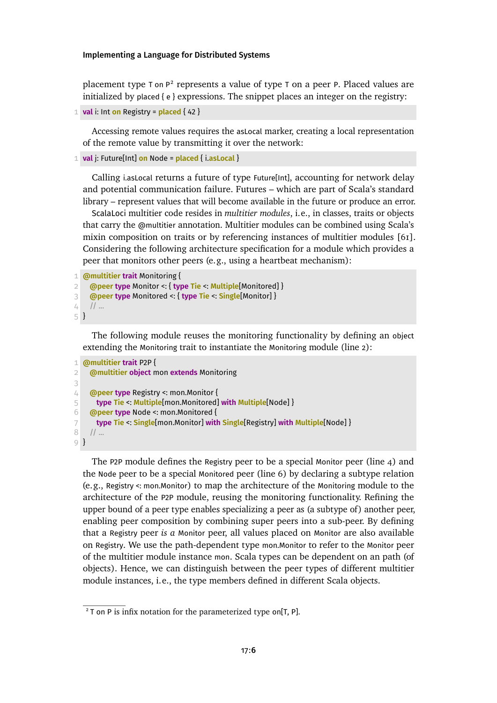placement type  $\tau$  on  $P^2$  represents a value of type  $\tau$  on a peer [P](#page-5-0). Placed values are initialized by placed { e } expressions. The snippet places an integer on the registry:

```
1 val i: Int on Registry = placed { 42 }
```
Accessing remote values requires the asLocal marker, creating a local representation of the remote value by transmitting it over the network:

```
1 val j: Future[Int] on Node = placed { i.asLocal }
```
Calling i.asLocal returns a future of type Future[Int], accounting for network delay and potential communication failure. Futures – which are part of Scala's standard library – represent values that will become available in the future or produce an error.

ScalaLoci multitier code resides in *multitier modules*, i.e., in classes, traits or objects that carry the @multitier annotation. Multitier modules can be combined using Scala's mixin composition on traits or by referencing instances of multitier modules [\[61\]](#page-27-2). Considering the following architecture specification for a module which provides a peer that monitors other peers (e.g., using a heartbeat mechanism):

```
1 @multitier trait Monitoring {
2 @peer type Monitor <: { type Tie <: Multiple[Monitored] }
3 @peer type Monitored <: { type Tie <: Single[Monitor] }
4 // ...
5 }
```
The following module reuses the monitoring functionality by defining an object extending the Monitoring trait to instantiate the Monitoring module [\(line 2\)](#page-5-1):

```
1 @multitier trait P2P {
2 @multitier object mon extends Monitoring
3
4 @peer type Registry <: mon.Monitor {
5 type Tie <: Multiple[mon.Monitored] with Multiple[Node] }
6 @peer type Node <: mon.Monitored {
7 type Tie <: Single[mon.Monitor] with Single[Registry] with Multiple[Node] }
8 // ...
9 }
```
The P2P module defines the Registry peer to be a special Monitor peer (line  $\phi$ ) and the Node peer to be a special Monitored peer [\(line 6\)](#page-5-3) by declaring a subtype relation (e.g., Registry <: mon.Monitor) to map the architecture of the Monitoring module to the architecture of the P2P module, reusing the monitoring functionality. Refining the upper bound of a peer type enables specializing a peer as (a subtype of) another peer, enabling peer composition by combining super peers into a sub-peer. By defining that a Registry peer *is a* Monitor peer, all values placed on Monitor are also available on Registry. We use the path-dependent type mon.Monitor to refer to the Monitor peer of the multitier module instance mon. Scala types can be dependent on an path (of objects). Hence, we can distinguish between the peer types of different multitier module instances, i.e., the type members defined in different Scala objects.

<span id="page-5-0"></span> $2$  T on P is infix notation for the parameterized type on[T, P].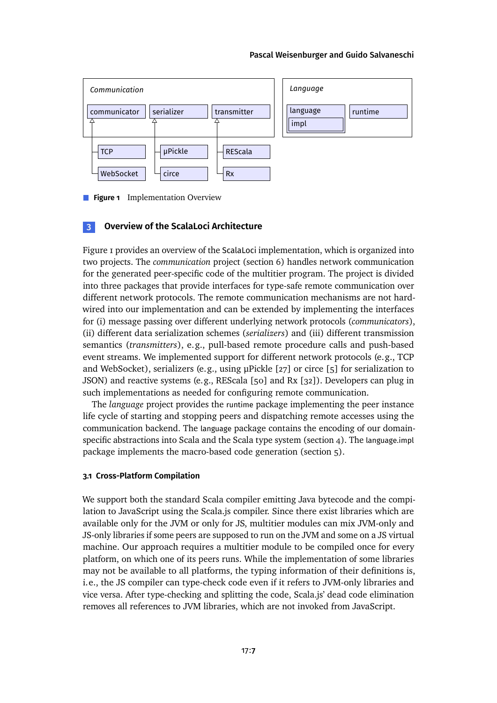### [Pascal Weisenburger](#page-28-0) and [Guido Salvaneschi](#page-28-1)

<span id="page-6-1"></span>

**Figure 1** Implementation Overview

# <span id="page-6-0"></span>**3 Overview of the ScalaLoci Architecture**

[Figure 1](#page-6-1) provides an overview of the ScalaLoci implementation, which is organized into two projects. The *communication* project [\(section 6\)](#page-17-0) handles network communication for the generated peer-specific code of the multitier program. The project is divided into three packages that provide interfaces for type-safe remote communication over different network protocols. The remote communication mechanisms are not hardwired into our implementation and can be extended by implementing the interfaces for (i) message passing over different underlying network protocols (*communicators*), (ii) different data serialization schemes (*serializers*) and (iii) different transmission semantics (*transmitters*), e.g., pull-based remote procedure calls and push-based event streams. We implemented support for different network protocols (e.g., TCP and WebSocket), serializers (e.g., using μPickle [\[27\]](#page-24-4) or circe [\[5\]](#page-22-3) for serialization to JSON) and reactive systems (e.g., REScala [\[50\]](#page-26-4) and Rx [\[32\]](#page-24-5)). Developers can plug in such implementations as needed for configuring remote communication.

The *language* project provides the runtime package implementing the peer instance life cycle of starting and stopping peers and dispatching remote accesses using the communication backend. The language package contains the encoding of our domain-specific abstractions into Scala and the Scala type system [\(section 4\)](#page-7-0). The language.impl package implements the macro-based code generation [\(section 5\)](#page-10-0).

## <span id="page-6-2"></span>**3.1 Cross-Platform Compilation**

We support both the standard Scala compiler emitting Java bytecode and the compilation to JavaScript using the Scala.js compiler. Since there exist libraries which are available only for the JVM or only for JS, multitier modules can mix JVM-only and JS-only libraries if some peers are supposed to run on the JVM and some on a JS virtual machine. Our approach requires a multitier module to be compiled once for every platform, on which one of its peers runs. While the implementation of some libraries may not be available to all platforms, the typing information of their definitions is, i.e., the JS compiler can type-check code even if it refers to JVM-only libraries and vice versa. After type-checking and splitting the code, Scala.js' dead code elimination removes all references to JVM libraries, which are not invoked from JavaScript.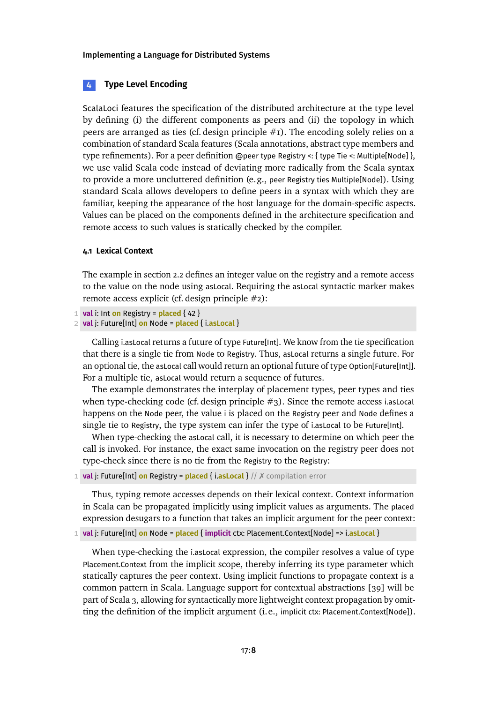# <span id="page-7-0"></span>**4 Type Level Encoding**

ScalaLoci features the specification of the distributed architecture at the type level by defining (i) the different components as peers and (ii) the topology in which peers are arranged as ties (cf. design principle  $#I$ ). The encoding solely relies on a combination of standard Scala features (Scala annotations, abstract type members and type refinements). For a peer definition @peer type Registry <: { type Tie <: Multiple[Node] }, we use valid Scala code instead of deviating more radically from the Scala syntax to provide a more uncluttered definition (e.g., peer Registry ties Multiple[Node]). Using standard Scala allows developers to define peers in a syntax with which they are familiar, keeping the appearance of the host language for the domain-specific aspects. Values can be placed on the components defined in the architecture specification and remote access to such values is statically checked by the compiler.

### <span id="page-7-1"></span>**4.1 Lexical Context**

The example in [section 2.2](#page-4-0) defines an integer value on the registry and a remote access to the value on the node using asLocal. Requiring the asLocal syntactic marker makes remote access explicit (cf. design principle #2):

```
1 val i: Int on Registry = placed { 42 }
```
2 **val** j: Future[Int] **on** Node = **placed** { i.**asLocal** }

Calling i.asLocal returns a future of type Future[Int]. We know from the tie specification that there is a single tie from Node to Registry. Thus, asLocal returns a single future. For an optional tie, the asLocal call would return an optional future of type Option[Future[Int]]. For a multiple tie, asLocal would return a sequence of futures.

The example demonstrates the interplay of placement types, peer types and ties when type-checking code (cf. design principle  $\#$ 3). Since the remote access i.asLocal happens on the Node peer, the value i is placed on the Registry peer and Node defines a single tie to Registry, the type system can infer the type of i.asLocal to be Future[Int].

When type-checking the asLocal call, it is necessary to determine on which peer the call is invoked. For instance, the exact same invocation on the registry peer does not type-check since there is no tie from the Registry to the Registry:

1 **val** j: Future[Int] **on** Registry = **placed** { i.**asLocal** } // ✗ compilation error

Thus, typing remote accesses depends on their lexical context. Context information in Scala can be propagated implicitly using implicit values as arguments. The placed expression desugars to a function that takes an implicit argument for the peer context:

1 **val** j: Future[Int] **on** Node = **placed** { **implicit** ctx: Placement.Context[Node] => i.**asLocal** }

When type-checking the i.asLocal expression, the compiler resolves a value of type Placement.Context from the implicit scope, thereby inferring its type parameter which statically captures the peer context. Using implicit functions to propagate context is a common pattern in Scala. Language support for contextual abstractions [\[39\]](#page-25-1) will be part of Scala 3, allowing for syntactically more lightweight context propagation by omitting the definition of the implicit argument (i.e., implicit ctx: Placement.Context[Node]).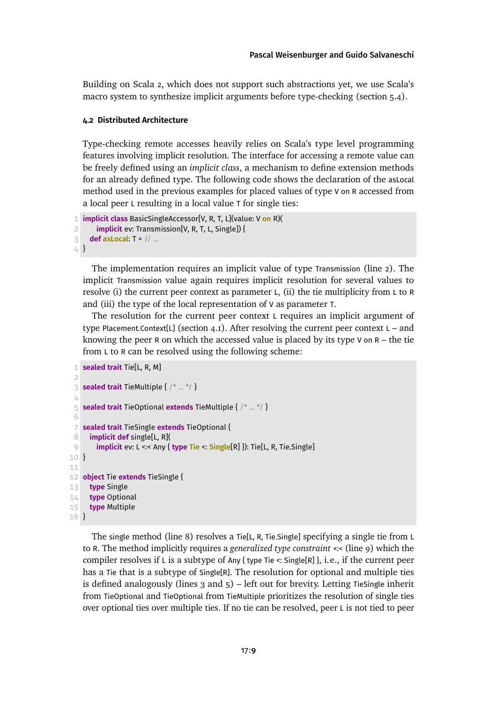Building on Scala 2, which does not support such abstractions yet, we use Scala's macro system to synthesize implicit arguments before type-checking [\(section 5.4\)](#page-15-0).

# <span id="page-8-0"></span>**4.2 Distributed Architecture**

Type-checking remote accesses heavily relies on Scala's type level programming features involving implicit resolution. The interface for accessing a remote value can be freely defined using an *implicit class*, a mechanism to define extension methods for an already defined type. The following code shows the declaration of the asLocal method used in the previous examples for placed values of type V on R accessed from a local peer L resulting in a local value T for single ties:

```
1 implicit class BasicSingleAccessor[V, R, T, L](value: V on R)(
2 implicit ev: Transmission[V, R, T, L, Single]) {
3 def asLocal: T = // ...
4 }
```
The implementation requires an implicit value of type Transmission [\(line 2\)](#page-8-1). The implicit Transmission value again requires implicit resolution for several values to resolve (i) the current peer context as parameter L, (ii) the tie multiplicity from L to R and (iii) the type of the local representation of V as parameter T.

The resolution for the current peer context L requires an implicit argument of type Placement.Context[L] (section  $4.1$ ). After resolving the current peer context L – and knowing the peer R on which the accessed value is placed by its type V on  $R -$  the tie from L to R can be resolved using the following scheme:

```
1 sealed trait Tie[L, R, M]
 \overline{2}3 sealed trait TieMultiple { /* ... */ }
 \angle5 sealed trait TieOptional extends TieMultiple { /* ... */ }
 6
 7 sealed trait TieSingle extends TieOptional {
 8 implicit def single[L, R](
 9 implicit ev: L <:< Any { type Tie <: Single[R] }): Tie[L, R, Tie.Single]
10 }
11
12 object Tie extends TieSingle {
13 type Single
14 type Optional
15 type Multiple
16 }
```
The single method [\(line 8\)](#page-8-2) resolves a Tie[L, R, Tie.Single] specifying a single tie from L to R. The method implicitly requires a *generalized type constraint* <:< [\(line 9\)](#page-8-3) which the compiler resolves if L is a subtype of Any { type Tie <: Single[R] }, i.e., if the current peer has a Tie that is a subtype of Single[R]. The resolution for optional and multiple ties is defined analogously (lines  $3$  and  $5$ ) – left out for brevity. Letting TieSingle inherit from TieOptional and TieOptional from TieMultiple prioritizes the resolution of single ties over optional ties over multiple ties. If no tie can be resolved, peer L is not tied to peer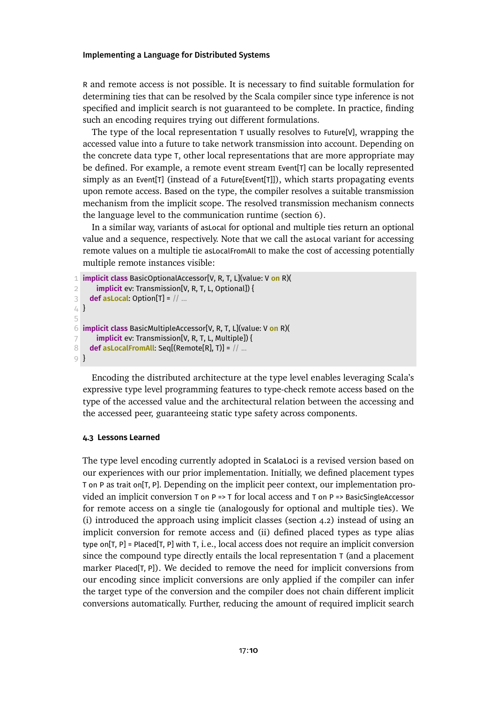R and remote access is not possible. It is necessary to find suitable formulation for determining ties that can be resolved by the Scala compiler since type inference is not specified and implicit search is not guaranteed to be complete. In practice, finding such an encoding requires trying out different formulations.

The type of the local representation T usually resolves to Future[V], wrapping the accessed value into a future to take network transmission into account. Depending on the concrete data type T, other local representations that are more appropriate may be defined. For example, a remote event stream Event[T] can be locally represented simply as an Event[T] (instead of a Future[Event[T]]), which starts propagating events upon remote access. Based on the type, the compiler resolves a suitable transmission mechanism from the implicit scope. The resolved transmission mechanism connects the language level to the communication runtime [\(section 6\)](#page-17-0).

In a similar way, variants of asLocal for optional and multiple ties return an optional value and a sequence, respectively. Note that we call the asLocal variant for accessing remote values on a multiple tie asLocalFromAll to make the cost of accessing potentially multiple remote instances visible:

```
1 implicit class BasicOptionalAccessor[V, R, T, L](value: V on R)(
2 implicit ev: Transmission[V, R, T, L, Optional]) {
3 def asLocal: Option[T] = // ...
4 }
5
6 implicit class BasicMultipleAccessor[V, R, T, L](value: V on R)(
7 implicit ev: Transmission[V, R, T, L, Multiple]) {
8 def asLocalFromAll: Seq[(Remote[R], T)] = // ...
9 }
```
Encoding the distributed architecture at the type level enables leveraging Scala's expressive type level programming features to type-check remote access based on the type of the accessed value and the architectural relation between the accessing and the accessed peer, guaranteeing static type safety across components.

#### **4.3 Lessons Learned**

The type level encoding currently adopted in ScalaLoci is a revised version based on our experiences with our prior implementation. Initially, we defined placement types T on P as trait on[T, P]. Depending on the implicit peer context, our implementation provided an implicit conversion  $T$  on  $P = \top$  for local access and  $T$  on  $P = \top$  BasicSingleAccessor for remote access on a single tie (analogously for optional and multiple ties). We (i) introduced the approach using implicit classes [\(section 4.2\)](#page-8-0) instead of using an implicit conversion for remote access and (ii) defined placed types as type alias type on[T, P] = Placed[T, P] with T, i.e., local access does not require an implicit conversion since the compound type directly entails the local representation T (and a placement marker Placed[T, P]). We decided to remove the need for implicit conversions from our encoding since implicit conversions are only applied if the compiler can infer the target type of the conversion and the compiler does not chain different implicit conversions automatically. Further, reducing the amount of required implicit search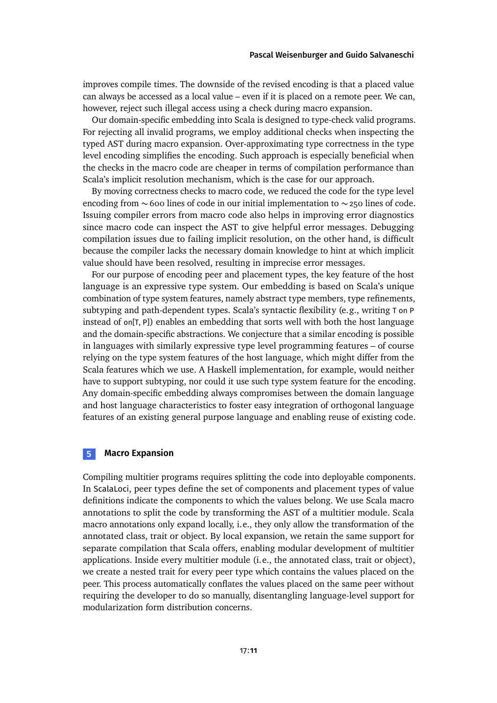improves compile times. The downside of the revised encoding is that a placed value can always be accessed as a local value – even if it is placed on a remote peer. We can, however, reject such illegal access using a check during macro expansion.

Our domain-specific embedding into Scala is designed to type-check valid programs. For rejecting all invalid programs, we employ additional checks when inspecting the typed AST during macro expansion. Over-approximating type correctness in the type level encoding simplifies the encoding. Such approach is especially beneficial when the checks in the macro code are cheaper in terms of compilation performance than Scala's implicit resolution mechanism, which is the case for our approach.

By moving correctness checks to macro code, we reduced the code for the type level encoding from ∼ 600 lines of code in our initial implementation to  $\sim$  250 lines of code. Issuing compiler errors from macro code also helps in improving error diagnostics since macro code can inspect the AST to give helpful error messages. Debugging compilation issues due to failing implicit resolution, on the other hand, is difficult because the compiler lacks the necessary domain knowledge to hint at which implicit value should have been resolved, resulting in imprecise error messages.

For our purpose of encoding peer and placement types, the key feature of the host language is an expressive type system. Our embedding is based on Scala's unique combination of type system features, namely abstract type members, type refinements, subtyping and path-dependent types. Scala's syntactic flexibility (e.g., writing T on P instead of on[T, P]) enables an embedding that sorts well with both the host language and the domain-specific abstractions. We conjecture that a similar encoding is possible in languages with similarly expressive type level programming features – of course relying on the type system features of the host language, which might differ from the Scala features which we use. A Haskell implementation, for example, would neither have to support subtyping, nor could it use such type system feature for the encoding. Any domain-specific embedding always compromises between the domain language and host language characteristics to foster easy integration of orthogonal language features of an existing general purpose language and enabling reuse of existing code.

# <span id="page-10-0"></span>**5 Macro Expansion**

Compiling multitier programs requires splitting the code into deployable components. In ScalaLoci, peer types define the set of components and placement types of value definitions indicate the components to which the values belong. We use Scala macro annotations to split the code by transforming the AST of a multitier module. Scala macro annotations only expand locally, i.e., they only allow the transformation of the annotated class, trait or object. By local expansion, we retain the same support for separate compilation that Scala offers, enabling modular development of multitier applications. Inside every multitier module (i.e., the annotated class, trait or object), we create a nested trait for every peer type which contains the values placed on the peer. This process automatically conflates the values placed on the same peer without requiring the developer to do so manually, disentangling language-level support for modularization form distribution concerns.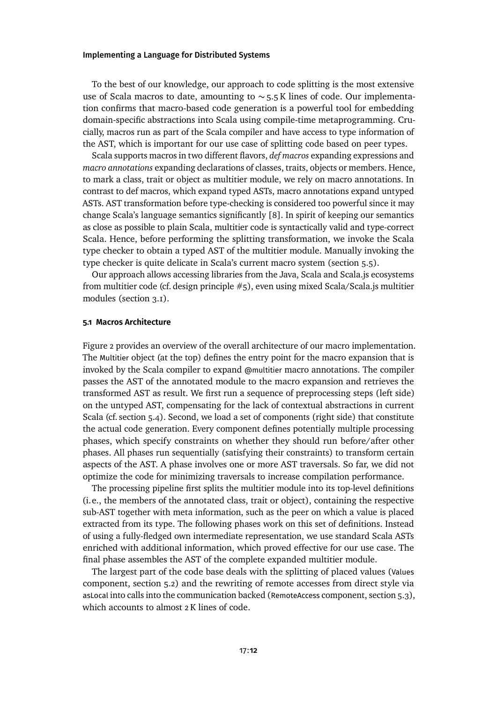To the best of our knowledge, our approach to code splitting is the most extensive use of Scala macros to date, amounting to ∼ 5.5 K lines of code. Our implementation confirms that macro-based code generation is a powerful tool for embedding domain-specific abstractions into Scala using compile-time metaprogramming. Crucially, macros run as part of the Scala compiler and have access to type information of the AST, which is important for our use case of splitting code based on peer types.

Scala supports macros in two different flavors, *def macros* expanding expressions and *macro annotations* expanding declarations of classes, traits, objects or members. Hence, to mark a class, trait or object as multitier module, we rely on macro annotations. In contrast to def macros, which expand typed ASTs, macro annotations expand untyped ASTs. AST transformation before type-checking is considered too powerful since it may change Scala's language semantics significantly [\[8\]](#page-22-4). In spirit of keeping our semantics as close as possible to plain Scala, multitier code is syntactically valid and type-correct Scala. Hence, before performing the splitting transformation, we invoke the Scala type checker to obtain a typed AST of the multitier module. Manually invoking the type checker is quite delicate in Scala's current macro system [\(section 5.5\)](#page-15-1).

Our approach allows accessing libraries from the Java, Scala and Scala.js ecosystems from multitier code (cf. design principle #5), even using mixed Scala/Scala.js multitier modules [\(section 3.1\)](#page-6-2).

#### **5.1 Macros Architecture**

[Figure 2](#page-12-0) provides an overview of the overall architecture of our macro implementation. The Multitier object (at the top) defines the entry point for the macro expansion that is invoked by the Scala compiler to expand @multitier macro annotations. The compiler passes the AST of the annotated module to the macro expansion and retrieves the transformed AST as result. We first run a sequence of preprocessing steps (left side) on the untyped AST, compensating for the lack of contextual abstractions in current Scala (cf. [section 5.4\)](#page-15-0). Second, we load a set of components (right side) that constitute the actual code generation. Every component defines potentially multiple processing phases, which specify constraints on whether they should run before/after other phases. All phases run sequentially (satisfying their constraints) to transform certain aspects of the AST. A phase involves one or more AST traversals. So far, we did not optimize the code for minimizing traversals to increase compilation performance.

The processing pipeline first splits the multitier module into its top-level definitions (i.e., the members of the annotated class, trait or object), containing the respective sub-AST together with meta information, such as the peer on which a value is placed extracted from its type. The following phases work on this set of definitions. Instead of using a fully-fledged own intermediate representation, we use standard Scala ASTs enriched with additional information, which proved effective for our use case. The final phase assembles the AST of the complete expanded multitier module.

The largest part of the code base deals with the splitting of placed values (Values component, [section 5.2\)](#page-12-1) and the rewriting of remote accesses from direct style via asLocal into calls into the communication backed (RemoteAccess component, [section 5.3\)](#page-14-0), which accounts to almost 2 K lines of code.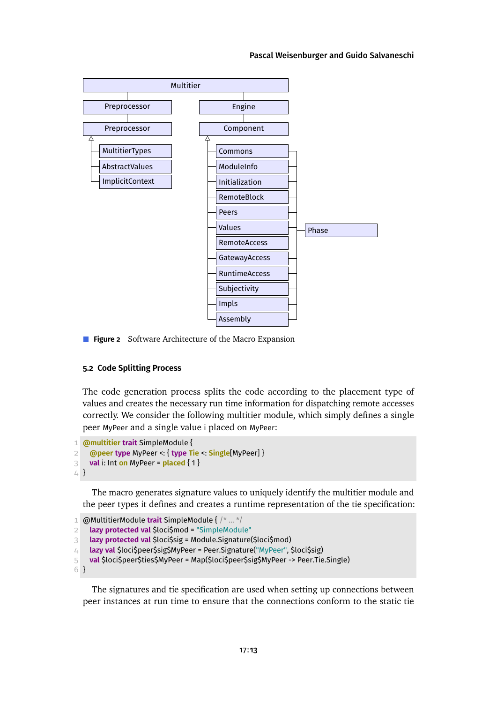#### [Pascal Weisenburger](#page-28-0) and [Guido Salvaneschi](#page-28-1)

<span id="page-12-0"></span>

**Figure 2** Software Architecture of the Macro Expansion

### <span id="page-12-1"></span>**5.2 Code Splitting Process**

The code generation process splits the code according to the placement type of values and creates the necessary run time information for dispatching remote accesses correctly. We consider the following multitier module, which simply defines a single peer MyPeer and a single value i placed on MyPeer:

```
1 @multitier trait SimpleModule {
2 @peer type MyPeer <: { type Tie <: Single[MyPeer] }
3 val i: Int on MyPeer = placed { 1 }
4 }
```
The macro generates signature values to uniquely identify the multitier module and the peer types it defines and creates a runtime representation of the tie specification:

```
1 @MultitierModule trait SimpleModule { /* ... */
2 lazy protected val $loci$mod = "SimpleModule"
3 lazy protected val $loci$sig = Module.Signature($loci$mod)
4 lazy val $loci$peer$sig$MyPeer = Peer.Signature("MyPeer", $loci$sig)
5 val $loci$peer$ties$MyPeer = Map($loci$peer$sig$MyPeer -> Peer.Tie.Single)
```
6 }

The signatures and tie specification are used when setting up connections between peer instances at run time to ensure that the connections conform to the static tie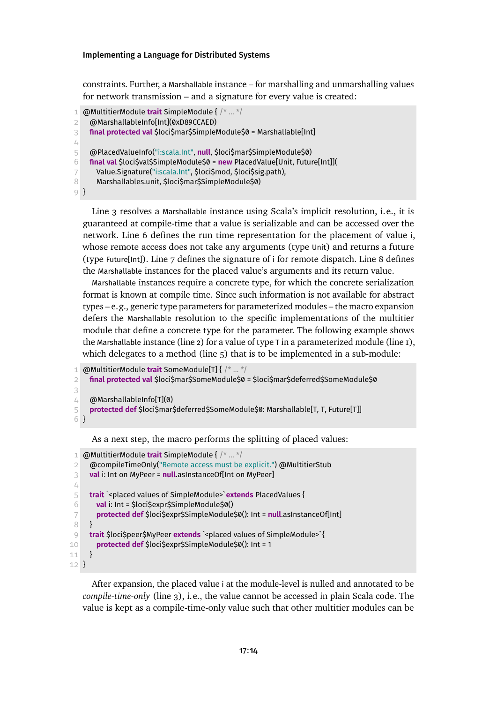constraints. Further, a Marshallable instance – for marshalling and unmarshalling values for network transmission – and a signature for every value is created:

```
1 @MultitierModule trait SimpleModule { /* ... */
2 @MarshallableInfo[Int](0xD89CCAED)
3 final protected val $loci$mar$SimpleModule$0 = Marshallable[Int]
4
5 @PlacedValueInfo("i:scala.Int", null, $loci$mar$SimpleModule$0)
6 final val $loci$val$SimpleModule$0 = new PlacedValue[Unit, Future[Int]](
7 Value.Signature("i:scala.Int", $loci$mod, $loci$sig.path),
8 Marshallables.unit, $loci$mar$SimpleModule$0)
9 }
```
<span id="page-13-3"></span><span id="page-13-2"></span>[Line 3](#page-13-0) resolves a Marshallable instance using Scala's implicit resolution, i.e., it is guaranteed at compile-time that a value is serializable and can be accessed over the network. [Line 6](#page-13-1) defines the run time representation for the placement of value i, whose remote access does not take any arguments (type Unit) and returns a future (type Future[Int]). [Line 7](#page-13-2) defines the signature of i for remote dispatch. [Line 8](#page-13-3) defines the Marshallable instances for the placed value's arguments and its return value.

Marshallable instances require a concrete type, for which the concrete serialization format is known at compile time. Since such information is not available for abstract types – e.g., generic type parameters for parameterized modules – the macro expansion defers the Marshallable resolution to the specific implementations of the multitier module that define a concrete type for the parameter. The following example shows the Marshallable instance [\(line 2\)](#page-13-4) for a value of type T in a parameterized module [\(line 1\)](#page-13-5), which delegates to a method [\(line 5\)](#page-13-6) that is to be implemented in a sub-module:

```
1 @MultitierModule trait SomeModule[T] { /* ... */
2 final protected val $loci$mar$SomeModule$0 = $loci$mar$deferred$SomeModule$0
3
4 @MarshallableInfo[T](0)
5 protected def $loci$mar$deferred$SomeModule$0: Marshallable[T, T, Future[T]]
6 }
    As a next step, the macro performs the splitting of placed values:
```

```
1 @MultitierModule trait SimpleModule { /* ... */
 2 @compileTimeOnly("Remote access must be explicit.") @MultitierStub
 3 val i: Int on MyPeer = null.asInstanceOf[Int on MyPeer]
 \perp5 trait `<placed values of SimpleModule>`extends PlacedValues {
 6 val i: Int = $loci$expr$SimpleModule$0()
 7 protected def $loci$expr$SimpleModule$0(): Int = null.asInstanceOf[Int]
8 }
9 trait $loci$peer$MyPeer extends `<placed values of SimpleModule>` {
10 protected def $loci$expr$SimpleModule$0(): Int = 1
11 }
12 }
```
<span id="page-13-11"></span>After expansion, the placed value i at the module-level is nulled and annotated to be *compile-time-only* [\(line 3\)](#page-13-7), i.e., the value cannot be accessed in plain Scala code. The value is kept as a compile-time-only value such that other multitier modules can be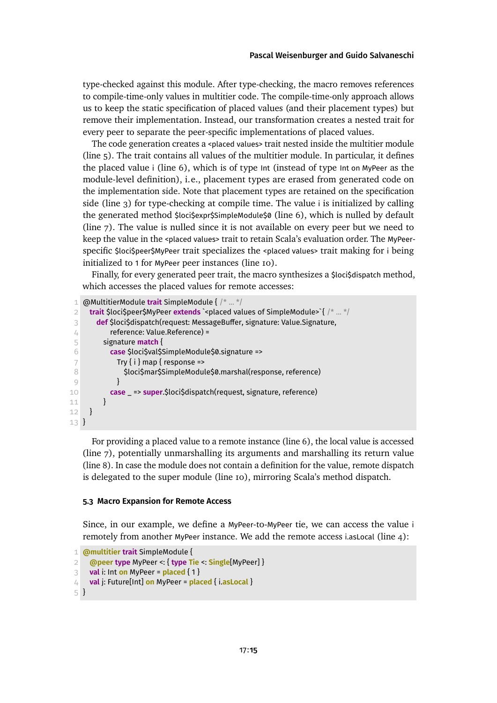type-checked against this module. After type-checking, the macro removes references to compile-time-only values in multitier code. The compile-time-only approach allows us to keep the static specification of placed values (and their placement types) but remove their implementation. Instead, our transformation creates a nested trait for every peer to separate the peer-specific implementations of placed values.

The code generation creates a <placed values> trait nested inside the multitier module [\(line 5\)](#page-13-8). The trait contains all values of the multitier module. In particular, it defines the placed value i [\(line 6\)](#page-13-9), which is of type Int (instead of type Int on MyPeer as the module-level definition), i.e., placement types are erased from generated code on the implementation side. Note that placement types are retained on the specification side [\(line 3\)](#page-13-7) for type-checking at compile time. The value i is initialized by calling the generated method \$loci\$expr\$SimpleModule\$0 [\(line 6\)](#page-13-9), which is nulled by default [\(line 7\)](#page-13-10). The value is nulled since it is not available on every peer but we need to keep the value in the <placed values> trait to retain Scala's evaluation order. The MyPeerspecific \$loci\$peer\$MyPeer trait specializes the <placed values> trait making for i being initialized to 1 for MyPeer peer instances [\(line 10\)](#page-13-11).

Finally, for every generated peer trait, the macro synthesizes a \$loci\$dispatch method, which accesses the placed values for remote accesses:

<span id="page-14-3"></span><span id="page-14-2"></span><span id="page-14-1"></span>

|                | @MultitierModule trait SimpleModule { /*  */                                                                        |
|----------------|---------------------------------------------------------------------------------------------------------------------|
| $\overline{2}$ | <b>trait</b> \$loci\$peer\$MyPeer extends ` <placed of="" simplemodule="" values="">`{ <math>/*  */</math></placed> |
| 3              | def \$loci\$dispatch(request: MessageBuffer, signature: Value.Signature,                                            |
|                | reference: Value.Reference) =                                                                                       |
| 5              | signature <b>match</b> {                                                                                            |
|                | case \$loci\$val\$SimpleModule\$0.signature =>                                                                      |
|                | Try $\{ i \}$ map $\{$ response =>                                                                                  |
|                | \$loci\$mar\$SimpleModule\$0.marshal(response, reference)                                                           |
|                |                                                                                                                     |
| 10             | case _ => super.\$loci\$dispatch(request, signature, reference)                                                     |
| 11             |                                                                                                                     |
| 12             |                                                                                                                     |
| $13 \}$        |                                                                                                                     |

<span id="page-14-4"></span>For providing a placed value to a remote instance [\(line 6\)](#page-14-1), the local value is accessed [\(line 7\)](#page-14-2), potentially unmarshalling its arguments and marshalling its return value [\(line 8\)](#page-14-3). In case the module does not contain a definition for the value, remote dispatch is delegated to the super module [\(line 10\)](#page-14-4), mirroring Scala's method dispatch.

#### <span id="page-14-0"></span>**5.3 Macro Expansion for Remote Access**

Since, in our example, we define a MyPeer-to-MyPeer tie, we can access the value i remotely from another MyPeer instance. We add the remote access i.asLocal [\(line 4\)](#page-14-5):

```
1 @multitier trait SimpleModule {
2 @peer type MyPeer <: { type Tie <: Single[MyPeer] }
3 val i: Int on MyPeer = placed { 1 }
4 val j: Future[Int] on MyPeer = placed { i.asLocal }
5 }
```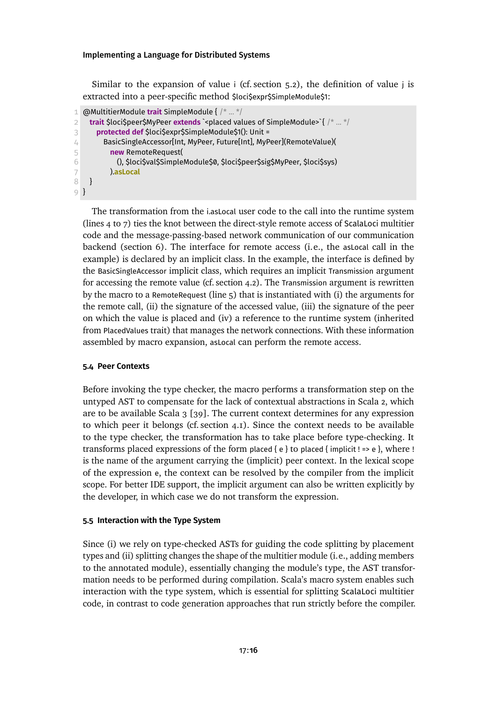Similar to the expansion of value i (cf. [section 5.2\)](#page-12-1), the definition of value j is extracted into a peer-specific method \$loci\$expr\$SimpleModule\$1:

```
1 @MultitierModule trait SimpleModule { /* ... */
2 trait $loci$peer$MyPeer extends `<placed values of SimpleModule>`{ /* ... */
3 protected def $loci$expr$SimpleModule$1(): Unit =
4 BasicSingleAccessor[Int, MyPeer, Future[Int], MyPeer](RemoteValue)(
5 new RemoteRequest(
6 (), $loci$val$SimpleModule$0, $loci$peer$sig$MyPeer, $loci$sys)
7 ).asLocal
8 }
9 }
```
<span id="page-15-3"></span>The transformation from the i.asLocal user code to the call into the runtime system [\(lines 4](#page-15-2) to [7\)](#page-15-3) ties the knot between the direct-style remote access of ScalaLoci multitier code and the message-passing-based network communication of our communication backend [\(section 6\)](#page-17-0). The interface for remote access (i.e., the asLocal call in the example) is declared by an implicit class. In the example, the interface is defined by the BasicSingleAccessor implicit class, which requires an implicit Transmission argument for accessing the remote value (cf. [section 4.2\)](#page-8-0). The Transmission argument is rewritten by the macro to a RemoteRequest [\(line 5\)](#page-15-4) that is instantiated with (i) the arguments for the remote call, (ii) the signature of the accessed value, (iii) the signature of the peer on which the value is placed and (iv) a reference to the runtime system (inherited from PlacedValues trait) that manages the network connections. With these information assembled by macro expansion, asLocal can perform the remote access.

# <span id="page-15-0"></span>**5.4 Peer Contexts**

Before invoking the type checker, the macro performs a transformation step on the untyped AST to compensate for the lack of contextual abstractions in Scala 2, which are to be available Scala 3 [\[39\]](#page-25-1). The current context determines for any expression to which peer it belongs (cf. [section 4.1\)](#page-7-1). Since the context needs to be available to the type checker, the transformation has to take place before type-checking. It transforms placed expressions of the form placed  $\{e\}$  to placed  $\{$  implicit ! => e  $\}$ , where ! is the name of the argument carrying the (implicit) peer context. In the lexical scope of the expression e, the context can be resolved by the compiler from the implicit scope. For better IDE support, the implicit argument can also be written explicitly by the developer, in which case we do not transform the expression.

# <span id="page-15-1"></span>**5.5 Interaction with the Type System**

Since (i) we rely on type-checked ASTs for guiding the code splitting by placement types and (ii) splitting changes the shape of the multitier module (i.e., adding members to the annotated module), essentially changing the module's type, the AST transformation needs to be performed during compilation. Scala's macro system enables such interaction with the type system, which is essential for splitting ScalaLoci multitier code, in contrast to code generation approaches that run strictly before the compiler.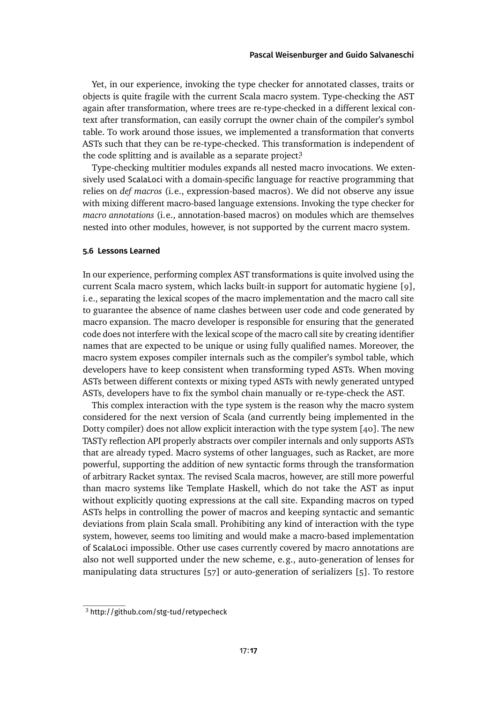Yet, in our experience, invoking the type checker for annotated classes, traits or objects is quite fragile with the current Scala macro system. Type-checking the AST again after transformation, where trees are re-type-checked in a different lexical context after transformation, can easily corrupt the owner chain of the compiler's symbol table. To work around those issues, we implemented a transformation that converts ASTs such that they can be re-type-checked. This transformation is independent of the code splitting and is available as a separate projec[t.](#page-16-0)<sup>3</sup>

Type-checking multitier modules expands all nested macro invocations. We extensively used ScalaLoci with a domain-specific language for reactive programming that relies on *def macros* (i.e., expression-based macros). We did not observe any issue with mixing different macro-based language extensions. Invoking the type checker for *macro annotations* (i.e., annotation-based macros) on modules which are themselves nested into other modules, however, is not supported by the current macro system.

# **5.6 Lessons Learned**

In our experience, performing complex AST transformations is quite involved using the current Scala macro system, which lacks built-in support for automatic hygiene [\[9\]](#page-23-6), i.e., separating the lexical scopes of the macro implementation and the macro call site to guarantee the absence of name clashes between user code and code generated by macro expansion. The macro developer is responsible for ensuring that the generated code does not interfere with the lexical scope of the macro call site by creating identifier names that are expected to be unique or using fully qualified names. Moreover, the macro system exposes compiler internals such as the compiler's symbol table, which developers have to keep consistent when transforming typed ASTs. When moving ASTs between different contexts or mixing typed ASTs with newly generated untyped ASTs, developers have to fix the symbol chain manually or re-type-check the AST.

This complex interaction with the type system is the reason why the macro system considered for the next version of Scala (and currently being implemented in the Dotty compiler) does not allow explicit interaction with the type system [\[40\]](#page-25-2). The new TASTy reflection API properly abstracts over compiler internals and only supports ASTs that are already typed. Macro systems of other languages, such as Racket, are more powerful, supporting the addition of new syntactic forms through the transformation of arbitrary Racket syntax. The revised Scala macros, however, are still more powerful than macro systems like Template Haskell, which do not take the AST as input without explicitly quoting expressions at the call site. Expanding macros on typed ASTs helps in controlling the power of macros and keeping syntactic and semantic deviations from plain Scala small. Prohibiting any kind of interaction with the type system, however, seems too limiting and would make a macro-based implementation of ScalaLoci impossible. Other use cases currently covered by macro annotations are also not well supported under the new scheme, e.g., auto-generation of lenses for manipulating data structures [\[57\]](#page-26-5) or auto-generation of serializers [\[5\]](#page-22-3). To restore

<span id="page-16-0"></span><sup>3</sup> <http://github.com/stg-tud/retypecheck>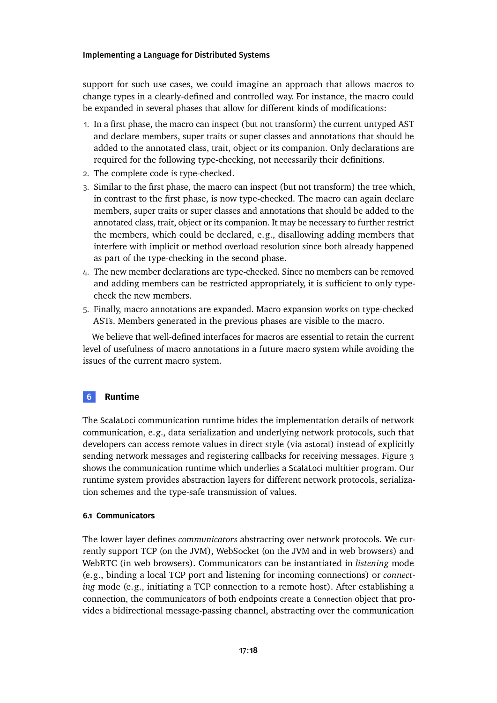support for such use cases, we could imagine an approach that allows macros to change types in a clearly-defined and controlled way. For instance, the macro could be expanded in several phases that allow for different kinds of modifications:

- 1. In a first phase, the macro can inspect (but not transform) the current untyped AST and declare members, super traits or super classes and annotations that should be added to the annotated class, trait, object or its companion. Only declarations are required for the following type-checking, not necessarily their definitions.
- 2. The complete code is type-checked.
- 3. Similar to the first phase, the macro can inspect (but not transform) the tree which, in contrast to the first phase, is now type-checked. The macro can again declare members, super traits or super classes and annotations that should be added to the annotated class, trait, object or its companion. It may be necessary to further restrict the members, which could be declared, e.g., disallowing adding members that interfere with implicit or method overload resolution since both already happened as part of the type-checking in the second phase.
- 4. The new member declarations are type-checked. Since no members can be removed and adding members can be restricted appropriately, it is sufficient to only typecheck the new members.
- 5. Finally, macro annotations are expanded. Macro expansion works on type-checked ASTs. Members generated in the previous phases are visible to the macro.

We believe that well-defined interfaces for macros are essential to retain the current level of usefulness of macro annotations in a future macro system while avoiding the issues of the current macro system.

# <span id="page-17-0"></span>**6 Runtime**

The ScalaLoci communication runtime hides the implementation details of network communication, e.g., data serialization and underlying network protocols, such that developers can access remote values in direct style (via asLocal) instead of explicitly sending network messages and registering callbacks for receiving messages. [Figure 3](#page-19-0) shows the communication runtime which underlies a ScalaLoci multitier program. Our runtime system provides abstraction layers for different network protocols, serialization schemes and the type-safe transmission of values.

# **6.1 Communicators**

The lower layer defines *communicators* abstracting over network protocols. We currently support TCP (on the JVM), WebSocket (on the JVM and in web browsers) and WebRTC (in web browsers). Communicators can be instantiated in *listening* mode (e.g., binding a local TCP port and listening for incoming connections) or *connecting* mode (e.g., initiating a TCP connection to a remote host). After establishing a connection, the communicators of both endpoints create a Connection object that provides a bidirectional message-passing channel, abstracting over the communication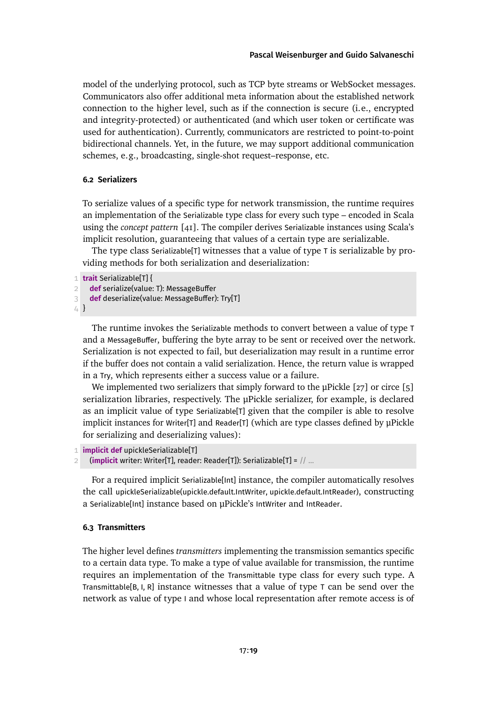model of the underlying protocol, such as TCP byte streams or WebSocket messages. Communicators also offer additional meta information about the established network connection to the higher level, such as if the connection is secure (i.e., encrypted and integrity-protected) or authenticated (and which user token or certificate was used for authentication). Currently, communicators are restricted to point-to-point bidirectional channels. Yet, in the future, we may support additional communication schemes, e.g., broadcasting, single-shot request–response, etc.

# **6.2 Serializers**

To serialize values of a specific type for network transmission, the runtime requires an implementation of the Serializable type class for every such type – encoded in Scala using the *concept pattern* [\[41\]](#page-25-3). The compiler derives Serializable instances using Scala's implicit resolution, guaranteeing that values of a certain type are serializable.

The type class Serializable[T] witnesses that a value of type T is serializable by providing methods for both serialization and deserialization:

```
1 trait Serializable[T] {
```

```
2 def serialize(value: T): MessageBuffer
```
3 **def** deserialize(value: MessageBuffer): Try[T]

4 }

The runtime invokes the Serializable methods to convert between a value of type T and a MessageBuffer, buffering the byte array to be sent or received over the network. Serialization is not expected to fail, but deserialization may result in a runtime error if the buffer does not contain a valid serialization. Hence, the return value is wrapped in a Try, which represents either a success value or a failure.

We implemented two serializers that simply forward to the  $\mu$ Pickle [\[27\]](#page-24-4) or circe [\[5\]](#page-22-3) serialization libraries, respectively. The μPickle serializer, for example, is declared as an implicit value of type Serializable[T] given that the compiler is able to resolve implicit instances for Writer[T] and Reader[T] (which are type classes defined by μPickle for serializing and deserializing values):

```
1 implicit def upickleSerializable[T]
```
2 (**implicit** writer: Writer[T], reader: Reader[T]): Serializable[T] = // ...

For a required implicit Serializable[Int] instance, the compiler automatically resolves the call upickleSerializable(upickle.default.IntWriter, upickle.default.IntReader), constructing a Serializable[Int] instance based on μPickle's IntWriter and IntReader.

# **6.3 Transmitters**

The higher level defines *transmitters* implementing the transmission semantics specific to a certain data type. To make a type of value available for transmission, the runtime requires an implementation of the Transmittable type class for every such type. A Transmittable[B, I, R] instance witnesses that a value of type  $T$  can be send over the network as value of type I and whose local representation after remote access is of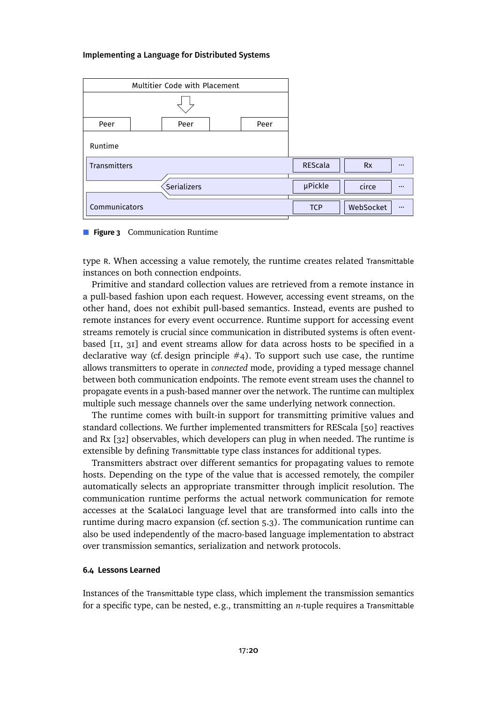<span id="page-19-0"></span>

| Multitier Code with Placement |  |      |  |      |            |           |                         |
|-------------------------------|--|------|--|------|------------|-----------|-------------------------|
|                               |  |      |  |      |            |           |                         |
| Peer                          |  | Peer |  | Peer |            |           |                         |
| Runtime                       |  |      |  |      |            |           |                         |
| Transmitters                  |  |      |  |      | REScala    | <b>Rx</b> | $\cdots$                |
| Serializers                   |  |      |  |      | µPickle    | circe     | $\bullet\bullet\bullet$ |
| Communicators                 |  |      |  |      | <b>TCP</b> | WebSocket | $\cdots$                |



type R. When accessing a value remotely, the runtime creates related Transmittable instances on both connection endpoints.

Primitive and standard collection values are retrieved from a remote instance in a pull-based fashion upon each request. However, accessing event streams, on the other hand, does not exhibit pull-based semantics. Instead, events are pushed to remote instances for every event occurrence. Runtime support for accessing event streams remotely is crucial since communication in distributed systems is often eventbased [\[11,](#page-23-4) [31\]](#page-24-3) and event streams allow for data across hosts to be specified in a declarative way (cf. design principle  $#4$ ). To support such use case, the runtime allows transmitters to operate in *connected* mode, providing a typed message channel between both communication endpoints. The remote event stream uses the channel to propagate events in a push-based manner over the network. The runtime can multiplex multiple such message channels over the same underlying network connection.

The runtime comes with built-in support for transmitting primitive values and standard collections. We further implemented transmitters for REScala [\[50\]](#page-26-4) reactives and Rx [\[32\]](#page-24-5) observables, which developers can plug in when needed. The runtime is extensible by defining Transmittable type class instances for additional types.

Transmitters abstract over different semantics for propagating values to remote hosts. Depending on the type of the value that is accessed remotely, the compiler automatically selects an appropriate transmitter through implicit resolution. The communication runtime performs the actual network communication for remote accesses at the ScalaLoci language level that are transformed into calls into the runtime during macro expansion (cf. [section 5.3\)](#page-14-0). The communication runtime can also be used independently of the macro-based language implementation to abstract over transmission semantics, serialization and network protocols.

# **6.4 Lessons Learned**

Instances of the Transmittable type class, which implement the transmission semantics for a specific type, can be nested, e.g., transmitting an *n*-tuple requires a Transmittable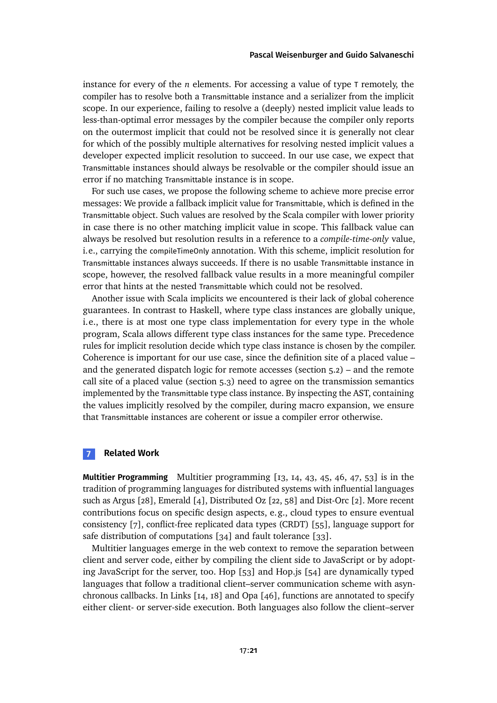instance for every of the *n* elements. For accessing a value of type T remotely, the compiler has to resolve both a Transmittable instance and a serializer from the implicit scope. In our experience, failing to resolve a (deeply) nested implicit value leads to less-than-optimal error messages by the compiler because the compiler only reports on the outermost implicit that could not be resolved since it is generally not clear for which of the possibly multiple alternatives for resolving nested implicit values a developer expected implicit resolution to succeed. In our use case, we expect that Transmittable instances should always be resolvable or the compiler should issue an error if no matching Transmittable instance is in scope.

For such use cases, we propose the following scheme to achieve more precise error messages: We provide a fallback implicit value for Transmittable, which is defined in the Transmittable object. Such values are resolved by the Scala compiler with lower priority in case there is no other matching implicit value in scope. This fallback value can always be resolved but resolution results in a reference to a *compile-time-only* value, i.e., carrying the compileTimeOnly annotation. With this scheme, implicit resolution for Transmittable instances always succeeds. If there is no usable Transmittable instance in scope, however, the resolved fallback value results in a more meaningful compiler error that hints at the nested Transmittable which could not be resolved.

Another issue with Scala implicits we encountered is their lack of global coherence guarantees. In contrast to Haskell, where type class instances are globally unique, i.e., there is at most one type class implementation for every type in the whole program, Scala allows different type class instances for the same type. Precedence rules for implicit resolution decide which type class instance is chosen by the compiler. Coherence is important for our use case, since the definition site of a placed value – and the generated dispatch logic for remote accesses [\(section 5.2\)](#page-12-1) – and the remote call site of a placed value [\(section 5.3\)](#page-14-0) need to agree on the transmission semantics implemented by the Transmittable type class instance. By inspecting the AST, containing the values implicitly resolved by the compiler, during macro expansion, we ensure that Transmittable instances are coherent or issue a compiler error otherwise.

# <span id="page-20-0"></span>**7 Related Work**

**Multitier Programming** Multitier programming [\[13,](#page-23-7) [14,](#page-23-2) [43,](#page-25-4) [45,](#page-25-5) [46,](#page-26-6) [47,](#page-26-7) [53\]](#page-26-0) is in the tradition of programming languages for distributed systems with influential languages such as Argus [\[28\]](#page-24-6), Emerald [\[4\]](#page-22-5), Distributed Oz [\[22,](#page-24-7) [58\]](#page-27-4) and Dist-Orc [\[2\]](#page-22-6). More recent contributions focus on specific design aspects, e.g., cloud types to ensure eventual consistency [\[7\]](#page-22-7), conflict-free replicated data types (CRDT) [\[55\]](#page-26-8), language support for safe distribution of computations [\[34\]](#page-24-0) and fault tolerance [\[33\]](#page-24-8).

Multitier languages emerge in the web context to remove the separation between client and server code, either by compiling the client side to JavaScript or by adopting JavaScript for the server, too. Hop [\[53\]](#page-26-0) and Hop.js [\[54\]](#page-26-9) are dynamically typed languages that follow a traditional client–server communication scheme with asynchronous callbacks. In Links [\[14,](#page-23-2) [18\]](#page-23-8) and Opa [\[46\]](#page-26-6), functions are annotated to specify either client- or server-side execution. Both languages also follow the client–server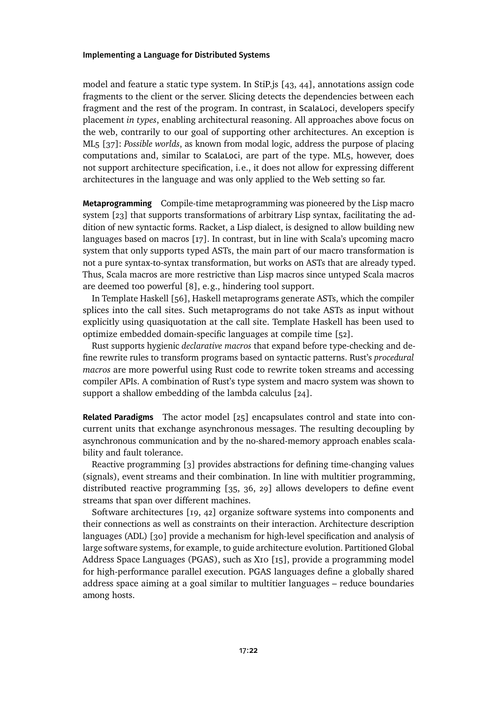model and feature a static type system. In StiP.js [\[43,](#page-25-4) [44\]](#page-25-6), annotations assign code fragments to the client or the server. Slicing detects the dependencies between each fragment and the rest of the program. In contrast, in ScalaLoci, developers specify placement *in types*, enabling architectural reasoning. All approaches above focus on the web, contrarily to our goal of supporting other architectures. An exception is ML5 [\[37\]](#page-25-7): *Possible worlds*, as known from modal logic, address the purpose of placing computations and, similar to ScalaLoci, are part of the type. ML5, however, does not support architecture specification, i.e., it does not allow for expressing different architectures in the language and was only applied to the Web setting so far.

**Metaprogramming** Compile-time metaprogramming was pioneered by the Lisp macro system [\[23\]](#page-24-9) that supports transformations of arbitrary Lisp syntax, facilitating the addition of new syntactic forms. Racket, a Lisp dialect, is designed to allow building new languages based on macros [\[17\]](#page-23-9). In contrast, but in line with Scala's upcoming macro system that only supports typed ASTs, the main part of our macro transformation is not a pure syntax-to-syntax transformation, but works on ASTs that are already typed. Thus, Scala macros are more restrictive than Lisp macros since untyped Scala macros are deemed too powerful [\[8\]](#page-22-4), e.g., hindering tool support.

In Template Haskell [\[56\]](#page-26-10), Haskell metaprograms generate ASTs, which the compiler splices into the call sites. Such metaprograms do not take ASTs as input without explicitly using quasiquotation at the call site. Template Haskell has been used to optimize embedded domain-specific languages at compile time [\[52\]](#page-26-11).

Rust supports hygienic *declarative macros* that expand before type-checking and define rewrite rules to transform programs based on syntactic patterns. Rust's *procedural macros* are more powerful using Rust code to rewrite token streams and accessing compiler APIs. A combination of Rust's type system and macro system was shown to support a shallow embedding of the lambda calculus [\[24\]](#page-24-10).

**Related Paradigms** The actor model [\[25\]](#page-24-11) encapsulates control and state into concurrent units that exchange asynchronous messages. The resulting decoupling by asynchronous communication and by the no-shared-memory approach enables scalability and fault tolerance.

Reactive programming [\[3\]](#page-22-8) provides abstractions for defining time-changing values (signals), event streams and their combination. In line with multitier programming, distributed reactive programming [\[35,](#page-25-8) [36,](#page-25-9) [29\]](#page-24-12) allows developers to define event streams that span over different machines.

Software architectures [\[19,](#page-23-10) [42\]](#page-25-10) organize software systems into components and their connections as well as constraints on their interaction. Architecture description languages (ADL) [\[30\]](#page-24-13) provide a mechanism for high-level specification and analysis of large software systems, for example, to guide architecture evolution. Partitioned Global Address Space Languages (PGAS), such as X10 [\[15\]](#page-23-11), provide a programming model for high-performance parallel execution. PGAS languages define a globally shared address space aiming at a goal similar to multitier languages – reduce boundaries among hosts.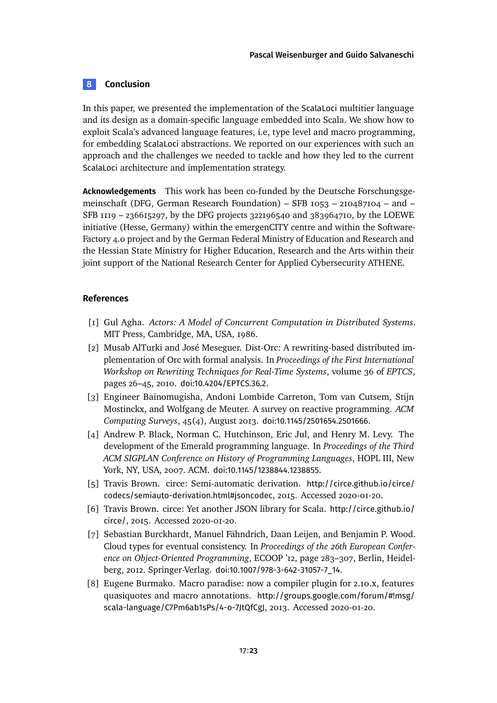# <span id="page-22-2"></span>**8 Conclusion**

In this paper, we presented the implementation of the ScalaLoci multitier language and its design as a domain-specific language embedded into Scala. We show how to exploit Scala's advanced language features, i.e, type level and macro programming, for embedding ScalaLoci abstractions. We reported on our experiences with such an approach and the challenges we needed to tackle and how they led to the current ScalaLoci architecture and implementation strategy.

**Acknowledgements** This work has been co-funded by the Deutsche Forschungsgemeinschaft (DFG, German Research Foundation) – SFB 1053 – 210487104 – and – SFB 1119 – 236615297, by the DFG projects 322196540 and 383964710, by the LOEWE initiative (Hesse, Germany) within the emergenCITY centre and within the Software-Factory 4.0 project and by the German Federal Ministry of Education and Research and the Hessian State Ministry for Higher Education, Research and the Arts within their joint support of the National Research Center for Applied Cybersecurity ATHENE.

# **References**

- <span id="page-22-0"></span>[1] Gul Agha. *Actors: A Model of Concurrent Computation in Distributed Systems*. MIT Press, Cambridge, MA, USA, 1986.
- <span id="page-22-6"></span>[2] Musab AlTurki and José Meseguer. Dist-Orc: A rewriting-based distributed implementation of Orc with formal analysis. In *Proceedings of the First International Workshop on Rewriting Techniques for Real-Time Systems*, volume 36 of *EPTCS*, pages 26–45, 2010. [doi:10.4204/EPTCS.36.2](https://doi.org/10.4204/EPTCS.36.2).
- <span id="page-22-8"></span>[3] Engineer Bainomugisha, Andoni Lombide Carreton, Tom van Cutsem, Stijn Mostinckx, and Wolfgang de Meuter. A survey on reactive programming. *ACM Computing Surveys*, 45(4), August 2013. [doi:10.1145/2501654.2501666](https://doi.org/10.1145/2501654.2501666).
- <span id="page-22-5"></span>[4] Andrew P. Black, Norman C. Hutchinson, Eric Jul, and Henry M. Levy. The development of the Emerald programming language. In *Proceedings of the Third ACM SIGPLAN Conference on History of Programming Languages*, HOPL III, New York, NY, USA, 2007. ACM. [doi:10.1145/1238844.1238855](https://doi.org/10.1145/1238844.1238855).
- <span id="page-22-3"></span>[5] Travis Brown. circe: Semi-automatic derivation. [http://circe.github.io/circe/](http://circe.github.io/circe/codecs/semiauto-derivation.html#jsoncodec) [codecs/semiauto-derivation.html#jsoncodec](http://circe.github.io/circe/codecs/semiauto-derivation.html#jsoncodec), 2015. Accessed 2020-01-20.
- <span id="page-22-1"></span>[6] Travis Brown. circe: Yet another JSON library for Scala. [http://circe.github.io/](http://circe.github.io/circe/) [circe/](http://circe.github.io/circe/), 2015. Accessed 2020-01-20.
- <span id="page-22-7"></span>[7] Sebastian Burckhardt, Manuel Fähndrich, Daan Leijen, and Benjamin P. Wood. Cloud types for eventual consistency. In *Proceedings of the 26th European Conference on Object-Oriented Programming*, ECOOP '12, page 283–307, Berlin, Heidelberg, 2012. Springer-Verlag. [doi:10.1007/978-3-642-31057-7\\_14](https://doi.org/10.1007/978-3-642-31057-7_14).
- <span id="page-22-4"></span>[8] Eugene Burmako. Macro paradise: now a compiler plugin for 2.10.x, features quasiquotes and macro annotations. [http://groups.google.com/forum/#!msg/](http://groups.google.com/forum/#!msg/scala-language/C7Pm6ab1sPs/4-o-7JtQfCgJ) [scala-language/C7Pm6ab1sPs/4-o-7JtQfCgJ](http://groups.google.com/forum/#!msg/scala-language/C7Pm6ab1sPs/4-o-7JtQfCgJ), 2013. Accessed 2020-01-20.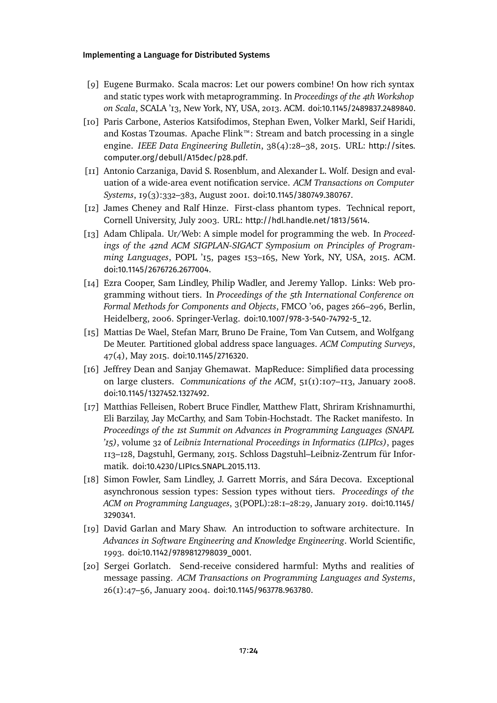- <span id="page-23-6"></span>[9] Eugene Burmako. Scala macros: Let our powers combine! On how rich syntax and static types work with metaprogramming. In *Proceedings of the 4th Workshop on Scala*, SCALA '13, New York, NY, USA, 2013. ACM. [doi:10.1145/2489837.2489840](https://doi.org/10.1145/2489837.2489840).
- <span id="page-23-1"></span>[10] Paris Carbone, Asterios Katsifodimos, Stephan Ewen, Volker Markl, Seif Haridi, and Kostas Tzoumas. Apache Flink™: Stream and batch processing in a single engine. *IEEE Data Engineering Bulletin*, 38(4):28–38, 2015. URL: [http://sites.](http://sites.computer.org/debull/A15dec/p28.pdf) [computer.org/debull/A15dec/p28.pdf](http://sites.computer.org/debull/A15dec/p28.pdf).
- <span id="page-23-4"></span>[11] Antonio Carzaniga, David S. Rosenblum, and Alexander L. Wolf. Design and evaluation of a wide-area event notification service. *ACM Transactions on Computer Systems*, 19(3):332–383, August 2001. [doi:10.1145/380749.380767](https://doi.org/10.1145/380749.380767).
- <span id="page-23-5"></span>[12] James Cheney and Ralf Hinze. First-class phantom types. Technical report, Cornell University, July 2003. URL: <http://hdl.handle.net/1813/5614>.
- <span id="page-23-7"></span>[13] Adam Chlipala. Ur/Web: A simple model for programming the web. In *Proceedings of the 42nd ACM SIGPLAN-SIGACT Symposium on Principles of Programming Languages*, POPL '15, pages 153–165, New York, NY, USA, 2015. ACM. [doi:10.1145/2676726.2677004](https://doi.org/10.1145/2676726.2677004).
- <span id="page-23-2"></span>[14] Ezra Cooper, Sam Lindley, Philip Wadler, and Jeremy Yallop. Links: Web programming without tiers. In *Proceedings of the 5th International Conference on Formal Methods for Components and Objects*, FMCO '06, pages 266–296, Berlin, Heidelberg, 2006. Springer-Verlag. [doi:10.1007/978-3-540-74792-5\\_12](https://doi.org/10.1007/978-3-540-74792-5_12).
- <span id="page-23-11"></span>[15] Mattias De Wael, Stefan Marr, Bruno De Fraine, Tom Van Cutsem, and Wolfgang De Meuter. Partitioned global address space languages. *ACM Computing Surveys*, 47(4), May 2015. [doi:10.1145/2716320](https://doi.org/10.1145/2716320).
- <span id="page-23-0"></span>[16] Jeffrey Dean and Sanjay Ghemawat. MapReduce: Simplified data processing on large clusters. *Communications of the ACM*, 51(1):107–113, January 2008. [doi:10.1145/1327452.1327492](https://doi.org/10.1145/1327452.1327492).
- <span id="page-23-9"></span>[17] Matthias Felleisen, Robert Bruce Findler, Matthew Flatt, Shriram Krishnamurthi, Eli Barzilay, Jay McCarthy, and Sam Tobin-Hochstadt. The Racket manifesto. In *Proceedings of the 1st Summit on Advances in Programming Languages (SNAPL '15)*, volume 32 of *Leibniz International Proceedings in Informatics (LIPIcs)*, pages 113–128, Dagstuhl, Germany, 2015. Schloss Dagstuhl–Leibniz-Zentrum für Informatik. [doi:10.4230/LIPIcs.SNAPL.2015.113](https://doi.org/10.4230/LIPIcs.SNAPL.2015.113).
- <span id="page-23-8"></span>[18] Simon Fowler, Sam Lindley, J. Garrett Morris, and Sára Decova. Exceptional asynchronous session types: Session types without tiers. *Proceedings of the ACM on Programming Languages*, 3(POPL):28:1–28:29, January 2019. [doi:10.1145/](https://doi.org/10.1145/3290341) [3290341](https://doi.org/10.1145/3290341).
- <span id="page-23-10"></span>[19] David Garlan and Mary Shaw. An introduction to software architecture. In *Advances in Software Engineering and Knowledge Engineering*. World Scientific, 1993. [doi:10.1142/9789812798039\\_0001](https://doi.org/10.1142/9789812798039_0001).
- <span id="page-23-3"></span>[20] Sergei Gorlatch. Send-receive considered harmful: Myths and realities of message passing. *ACM Transactions on Programming Languages and Systems*, 26(1):47–56, January 2004. [doi:10.1145/963778.963780](https://doi.org/10.1145/963778.963780).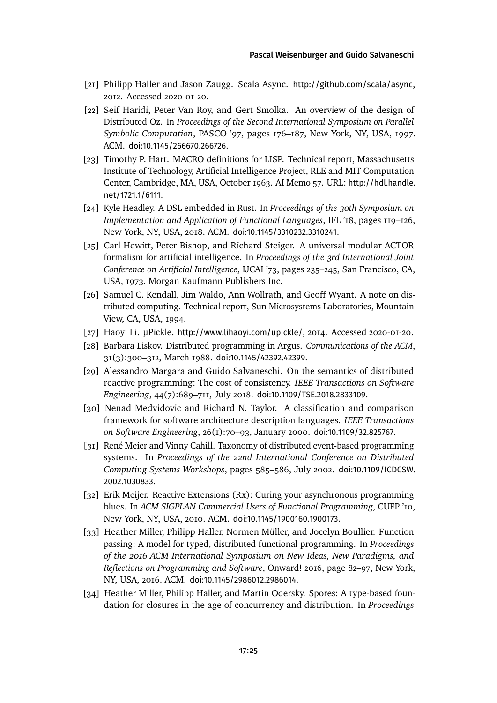- <span id="page-24-1"></span>[21] Philipp Haller and Jason Zaugg. Scala Async. <http://github.com/scala/async>, 2012. Accessed 2020-01-20.
- <span id="page-24-7"></span>[22] Seif Haridi, Peter Van Roy, and Gert Smolka. An overview of the design of Distributed Oz. In *Proceedings of the Second International Symposium on Parallel Symbolic Computation*, PASCO '97, pages 176–187, New York, NY, USA, 1997. ACM. [doi:10.1145/266670.266726](https://doi.org/10.1145/266670.266726).
- <span id="page-24-9"></span>[23] Timothy P. Hart. MACRO definitions for LISP. Technical report, Massachusetts Institute of Technology, Artificial Intelligence Project, RLE and MIT Computation Center, Cambridge, MA, USA, October 1963. AI Memo 57. URL: [http://hdl.handle.](http://hdl.handle.net/1721.1/6111) [net/1721.1/6111](http://hdl.handle.net/1721.1/6111).
- <span id="page-24-10"></span>[24] Kyle Headley. A DSL embedded in Rust. In *Proceedings of the 30th Symposium on Implementation and Application of Functional Languages*, IFL '18, pages 119–126, New York, NY, USA, 2018. ACM. [doi:10.1145/3310232.3310241](https://doi.org/10.1145/3310232.3310241).
- <span id="page-24-11"></span>[25] Carl Hewitt, Peter Bishop, and Richard Steiger. A universal modular ACTOR formalism for artificial intelligence. In *Proceedings of the 3rd International Joint Conference on Artificial Intelligence*, IJCAI '73, pages 235–245, San Francisco, CA, USA, 1973. Morgan Kaufmann Publishers Inc.
- <span id="page-24-2"></span>[26] Samuel C. Kendall, Jim Waldo, Ann Wollrath, and Geoff Wyant. A note on distributed computing. Technical report, Sun Microsystems Laboratories, Mountain View, CA, USA, 1994.
- <span id="page-24-4"></span>[27] Haoyi Li. µPickle. <http://www.lihaoyi.com/upickle/>, 2014. Accessed 2020-01-20.
- <span id="page-24-6"></span>[28] Barbara Liskov. Distributed programming in Argus. *Communications of the ACM*, 31(3):300–312, March 1988. [doi:10.1145/42392.42399](https://doi.org/10.1145/42392.42399).
- <span id="page-24-12"></span>[29] Alessandro Margara and Guido Salvaneschi. On the semantics of distributed reactive programming: The cost of consistency. *IEEE Transactions on Software Engineering*, 44(7):689–711, July 2018. [doi:10.1109/TSE.2018.2833109](https://doi.org/10.1109/TSE.2018.2833109).
- <span id="page-24-13"></span>[30] Nenad Medvidovic and Richard N. Taylor. A classification and comparison framework for software architecture description languages. *IEEE Transactions on Software Engineering*, 26(1):70–93, January 2000. [doi:10.1109/32.825767](https://doi.org/10.1109/32.825767).
- <span id="page-24-3"></span>[31] René Meier and Vinny Cahill. Taxonomy of distributed event-based programming systems. In *Proceedings of the 22nd International Conference on Distributed Computing Systems Workshops*, pages 585–586, July 2002. [doi:10.1109/ICDCSW.](https://doi.org/10.1109/ICDCSW.2002.1030833) [2002.1030833](https://doi.org/10.1109/ICDCSW.2002.1030833).
- <span id="page-24-5"></span>[32] Erik Meijer. Reactive Extensions (Rx): Curing your asynchronous programming blues. In *ACM SIGPLAN Commercial Users of Functional Programming*, CUFP '10, New York, NY, USA, 2010. ACM. [doi:10.1145/1900160.1900173](https://doi.org/10.1145/1900160.1900173).
- <span id="page-24-8"></span>[33] Heather Miller, Philipp Haller, Normen Müller, and Jocelyn Boullier. Function passing: A model for typed, distributed functional programming. In *Proceedings of the 2016 ACM International Symposium on New Ideas, New Paradigms, and Reflections on Programming and Software*, Onward! 2016, page 82–97, New York, NY, USA, 2016. ACM. [doi:10.1145/2986012.2986014](https://doi.org/10.1145/2986012.2986014).
- <span id="page-24-0"></span>[34] Heather Miller, Philipp Haller, and Martin Odersky. Spores: A type-based foundation for closures in the age of concurrency and distribution. In *Proceedings*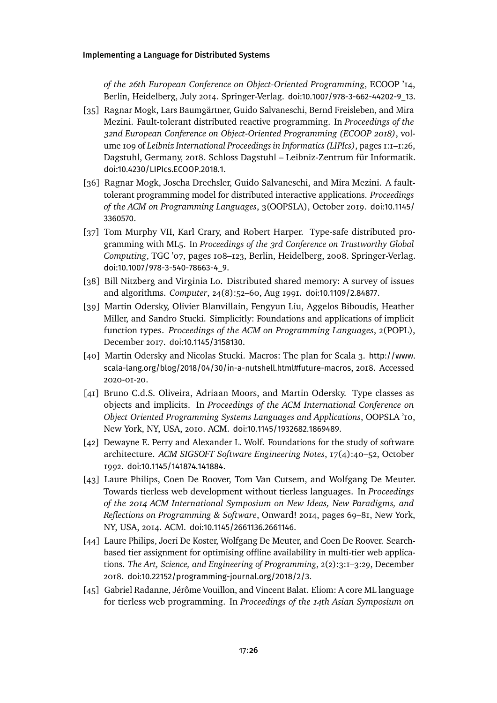*of the 26th European Conference on Object-Oriented Programming*, ECOOP '14, Berlin, Heidelberg, July 2014. Springer-Verlag. [doi:10.1007/978-3-662-44202-9\\_13](https://doi.org/10.1007/978-3-662-44202-9_13).

- <span id="page-25-8"></span>[35] Ragnar Mogk, Lars Baumgärtner, Guido Salvaneschi, Bernd Freisleben, and Mira Mezini. Fault-tolerant distributed reactive programming. In *Proceedings of the 32nd European Conference on Object-Oriented Programming (ECOOP 2018)*, volume 109 of *Leibniz International Proceedings in Informatics (LIPIcs)*, pages 1:1–1:26, Dagstuhl, Germany, 2018. Schloss Dagstuhl – Leibniz-Zentrum für Informatik. [doi:10.4230/LIPIcs.ECOOP.2018.1](https://doi.org/10.4230/LIPIcs.ECOOP.2018.1).
- <span id="page-25-9"></span>[36] Ragnar Mogk, Joscha Drechsler, Guido Salvaneschi, and Mira Mezini. A faulttolerant programming model for distributed interactive applications. *Proceedings of the ACM on Programming Languages*, 3(OOPSLA), October 2019. [doi:10.1145/](https://doi.org/10.1145/3360570) [3360570](https://doi.org/10.1145/3360570).
- <span id="page-25-7"></span>[37] Tom Murphy VII, Karl Crary, and Robert Harper. Type-safe distributed programming with ML5. In *Proceedings of the 3rd Conference on Trustworthy Global Computing*, TGC '07, pages 108–123, Berlin, Heidelberg, 2008. Springer-Verlag. [doi:10.1007/978-3-540-78663-4\\_9](https://doi.org/10.1007/978-3-540-78663-4_9).
- <span id="page-25-0"></span>[38] Bill Nitzberg and Virginia Lo. Distributed shared memory: A survey of issues and algorithms. *Computer*, 24(8):52–60, Aug 1991. [doi:10.1109/2.84877](https://doi.org/10.1109/2.84877).
- <span id="page-25-1"></span>[39] Martin Odersky, Olivier Blanvillain, Fengyun Liu, Aggelos Biboudis, Heather Miller, and Sandro Stucki. Simplicitly: Foundations and applications of implicit function types. *Proceedings of the ACM on Programming Languages*, 2(POPL), December 2017. [doi:10.1145/3158130](https://doi.org/10.1145/3158130).
- <span id="page-25-2"></span>[40] Martin Odersky and Nicolas Stucki. Macros: The plan for Scala 3. [http://www.](http://www.scala-lang.org/blog/2018/04/30/in-a-nutshell.html#future-macros) [scala-lang.org/blog/2018/04/30/in-a-nutshell.html#future-macros](http://www.scala-lang.org/blog/2018/04/30/in-a-nutshell.html#future-macros), 2018. Accessed 2020-01-20.
- <span id="page-25-3"></span>[41] Bruno C.d.S. Oliveira, Adriaan Moors, and Martin Odersky. Type classes as objects and implicits. In *Proceedings of the ACM International Conference on Object Oriented Programming Systems Languages and Applications*, OOPSLA '10, New York, NY, USA, 2010. ACM. [doi:10.1145/1932682.1869489](https://doi.org/10.1145/1932682.1869489).
- <span id="page-25-10"></span>[42] Dewayne E. Perry and Alexander L. Wolf. Foundations for the study of software architecture. *ACM SIGSOFT Software Engineering Notes*, 17(4):40–52, October 1992. [doi:10.1145/141874.141884](https://doi.org/10.1145/141874.141884).
- <span id="page-25-4"></span>[43] Laure Philips, Coen De Roover, Tom Van Cutsem, and Wolfgang De Meuter. Towards tierless web development without tierless languages. In *Proceedings of the 2014 ACM International Symposium on New Ideas, New Paradigms, and Reflections on Programming & Software*, Onward! 2014, pages 69–81, New York, NY, USA, 2014. ACM. [doi:10.1145/2661136.2661146](https://doi.org/10.1145/2661136.2661146).
- <span id="page-25-6"></span>[44] Laure Philips, Joeri De Koster, Wolfgang De Meuter, and Coen De Roover. Searchbased tier assignment for optimising offline availability in multi-tier web applications. *The Art, Science, and Engineering of Programming*, 2(2):3:1–3:29, December 2018. [doi:10.22152/programming-journal.org/2018/2/3](https://doi.org/10.22152/programming-journal.org/2018/2/3).
- <span id="page-25-5"></span>[45] Gabriel Radanne, Jérôme Vouillon, and Vincent Balat. Eliom: A core ML language for tierless web programming. In *Proceedings of the 14th Asian Symposium on*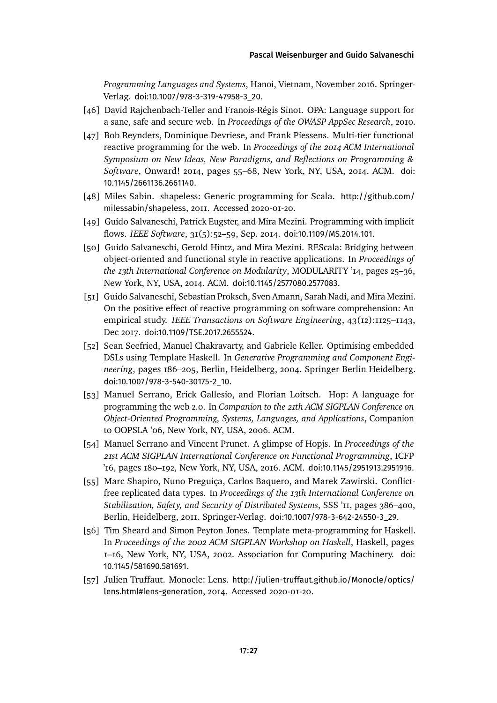*Programming Languages and Systems*, Hanoi, Vietnam, November 2016. Springer-Verlag. [doi:10.1007/978-3-319-47958-3\\_20](https://doi.org/10.1007/978-3-319-47958-3_20).

- <span id="page-26-6"></span>[46] David Rajchenbach-Teller and Franois-Régis Sinot. OPA: Language support for a sane, safe and secure web. In *Proceedings of the OWASP AppSec Research*, 2010.
- <span id="page-26-7"></span>[47] Bob Reynders, Dominique Devriese, and Frank Piessens. Multi-tier functional reactive programming for the web. In *Proceedings of the 2014 ACM International Symposium on New Ideas, New Paradigms, and Reflections on Programming & Software*, Onward! 2014, pages 55–68, New York, NY, USA, 2014. ACM. [doi:](https://doi.org/10.1145/2661136.2661140) [10.1145/2661136.2661140](https://doi.org/10.1145/2661136.2661140).
- <span id="page-26-1"></span>[48] Miles Sabin. shapeless: Generic programming for Scala. [http://github.com/](http://github.com/milessabin/shapeless) [milessabin/shapeless](http://github.com/milessabin/shapeless), 2011. Accessed 2020-01-20.
- <span id="page-26-3"></span>[49] Guido Salvaneschi, Patrick Eugster, and Mira Mezini. Programming with implicit flows. *IEEE Software*, 31(5):52–59, Sep. 2014. [doi:10.1109/MS.2014.101](https://doi.org/10.1109/MS.2014.101).
- <span id="page-26-4"></span>[50] Guido Salvaneschi, Gerold Hintz, and Mira Mezini. REScala: Bridging between object-oriented and functional style in reactive applications. In *Proceedings of the 13th International Conference on Modularity*, MODULARITY '14, pages 25–36, New York, NY, USA, 2014. ACM. [doi:10.1145/2577080.2577083](https://doi.org/10.1145/2577080.2577083).
- <span id="page-26-2"></span>[51] Guido Salvaneschi, Sebastian Proksch, Sven Amann, Sarah Nadi, and Mira Mezini. On the positive effect of reactive programming on software comprehension: An empirical study. *IEEE Transactions on Software Engineering*, 43(12):1125–1143, Dec 2017. [doi:10.1109/TSE.2017.2655524](https://doi.org/10.1109/TSE.2017.2655524).
- <span id="page-26-11"></span>[52] Sean Seefried, Manuel Chakravarty, and Gabriele Keller. Optimising embedded DSLs using Template Haskell. In *Generative Programming and Component Engineering*, pages 186–205, Berlin, Heidelberg, 2004. Springer Berlin Heidelberg. [doi:10.1007/978-3-540-30175-2\\_10](https://doi.org/10.1007/978-3-540-30175-2_10).
- <span id="page-26-0"></span>[53] Manuel Serrano, Erick Gallesio, and Florian Loitsch. Hop: A language for programming the web 2.0. In *Companion to the 21th ACM SIGPLAN Conference on Object-Oriented Programming, Systems, Languages, and Applications*, Companion to OOPSLA '06, New York, NY, USA, 2006. ACM.
- <span id="page-26-9"></span>[54] Manuel Serrano and Vincent Prunet. A glimpse of Hopjs. In *Proceedings of the 21st ACM SIGPLAN International Conference on Functional Programming*, ICFP '16, pages 180–192, New York, NY, USA, 2016. ACM. [doi:10.1145/2951913.2951916](https://doi.org/10.1145/2951913.2951916).
- <span id="page-26-8"></span>[55] Marc Shapiro, Nuno Preguiça, Carlos Baquero, and Marek Zawirski. Conflictfree replicated data types. In *Proceedings of the 13th International Conference on Stabilization, Safety, and Security of Distributed Systems*, SSS '11, pages 386–400, Berlin, Heidelberg, 2011. Springer-Verlag. [doi:10.1007/978-3-642-24550-3\\_29](https://doi.org/10.1007/978-3-642-24550-3_29).
- <span id="page-26-10"></span>[56] Tim Sheard and Simon Peyton Jones. Template meta-programming for Haskell. In *Proceedings of the 2002 ACM SIGPLAN Workshop on Haskell*, Haskell, pages 1–16, New York, NY, USA, 2002. Association for Computing Machinery. [doi:](https://doi.org/10.1145/581690.581691) [10.1145/581690.581691](https://doi.org/10.1145/581690.581691).
- <span id="page-26-5"></span>[57] Julien Truffaut. Monocle: Lens. [http://julien-truffaut.github.io/Monocle/optics/](http://julien-truffaut.github.io/Monocle/optics/lens.html#lens-generation) [lens.html#lens-generation](http://julien-truffaut.github.io/Monocle/optics/lens.html#lens-generation), 2014. Accessed 2020-01-20.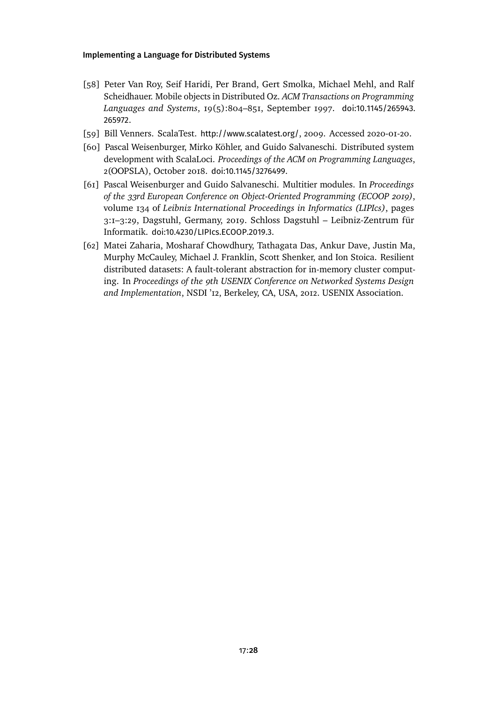- <span id="page-27-4"></span>[58] Peter Van Roy, Seif Haridi, Per Brand, Gert Smolka, Michael Mehl, and Ralf Scheidhauer. Mobile objects in Distributed Oz. *ACM Transactions on Programming Languages and Systems*, 19(5):804–851, September 1997. [doi:10.1145/265943.](https://doi.org/10.1145/265943.265972) [265972](https://doi.org/10.1145/265943.265972).
- <span id="page-27-3"></span>[59] Bill Venners. ScalaTest. <http://www.scalatest.org/>, 2009. Accessed 2020-01-20.
- <span id="page-27-1"></span>[60] Pascal Weisenburger, Mirko Köhler, and Guido Salvaneschi. Distributed system development with ScalaLoci. *Proceedings of the ACM on Programming Languages*, 2(OOPSLA), October 2018. [doi:10.1145/3276499](https://doi.org/10.1145/3276499).
- <span id="page-27-2"></span>[61] Pascal Weisenburger and Guido Salvaneschi. Multitier modules. In *Proceedings of the 33rd European Conference on Object-Oriented Programming (ECOOP 2019)*, volume 134 of *Leibniz International Proceedings in Informatics (LIPIcs)*, pages 3:1–3:29, Dagstuhl, Germany, 2019. Schloss Dagstuhl – Leibniz-Zentrum für Informatik. [doi:10.4230/LIPIcs.ECOOP.2019.3](https://doi.org/10.4230/LIPIcs.ECOOP.2019.3).
- <span id="page-27-0"></span>[62] Matei Zaharia, Mosharaf Chowdhury, Tathagata Das, Ankur Dave, Justin Ma, Murphy McCauley, Michael J. Franklin, Scott Shenker, and Ion Stoica. Resilient distributed datasets: A fault-tolerant abstraction for in-memory cluster computing. In *Proceedings of the 9th USENIX Conference on Networked Systems Design and Implementation*, NSDI '12, Berkeley, CA, USA, 2012. USENIX Association.